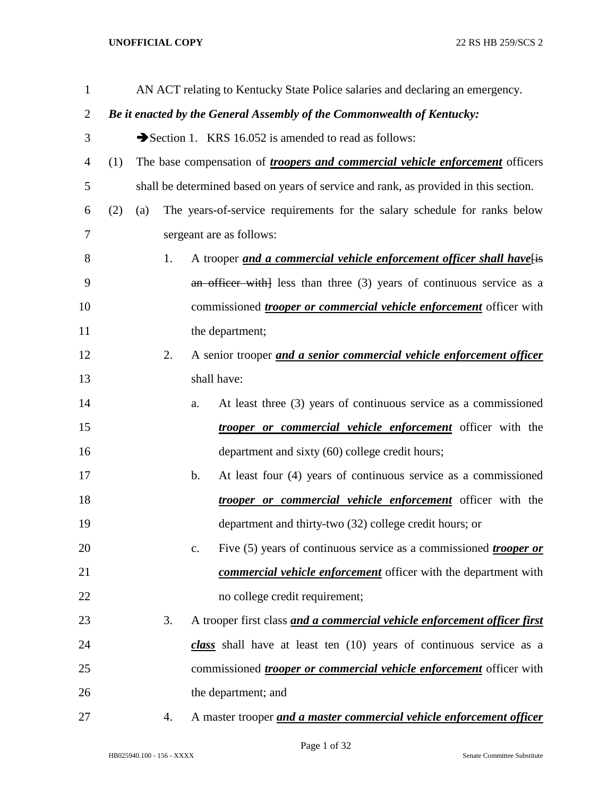| $\mathbf{1}$ |     |     |    |    | AN ACT relating to Kentucky State Police salaries and declaring an emergency.        |
|--------------|-----|-----|----|----|--------------------------------------------------------------------------------------|
| 2            |     |     |    |    | Be it enacted by the General Assembly of the Commonwealth of Kentucky:               |
| 3            |     |     |    |    | Section 1. KRS 16.052 is amended to read as follows:                                 |
| 4            | (1) |     |    |    | The base compensation of <i>troopers and commercial vehicle enforcement</i> officers |
| 5            |     |     |    |    | shall be determined based on years of service and rank, as provided in this section. |
| 6            | (2) | (a) |    |    | The years-of-service requirements for the salary schedule for ranks below            |
| 7            |     |     |    |    | sergeant are as follows:                                                             |
| 8            |     |     | 1. |    | A trooper and a commercial vehicle enforcement officer shall have[is                 |
| 9            |     |     |    |    | an officer with less than three $(3)$ years of continuous service as a               |
| 10           |     |     |    |    | commissioned <i>trooper or commercial vehicle enforcement</i> officer with           |
| 11           |     |     |    |    | the department;                                                                      |
| 12           |     |     | 2. |    | A senior trooper and a senior commercial vehicle enforcement officer                 |
| 13           |     |     |    |    | shall have:                                                                          |
| 14           |     |     |    | a. | At least three (3) years of continuous service as a commissioned                     |
| 15           |     |     |    |    | <i>trooper or commercial vehicle enforcement</i> officer with the                    |
| 16           |     |     |    |    | department and sixty (60) college credit hours;                                      |
| 17           |     |     |    | b. | At least four (4) years of continuous service as a commissioned                      |
| 18           |     |     |    |    | <i>trooper or commercial vehicle enforcement</i> officer with the                    |
| 19           |     |     |    |    | department and thirty-two (32) college credit hours; or                              |
| 20           |     |     |    | c. | Five (5) years of continuous service as a commissioned <i>trooper or</i>             |
| 21           |     |     |    |    | commercial vehicle enforcement officer with the department with                      |
| 22           |     |     |    |    | no college credit requirement;                                                       |
| 23           |     |     | 3. |    | A trooper first class and a commercial vehicle enforcement officer first             |
| 24           |     |     |    |    | class shall have at least ten $(10)$ years of continuous service as a                |
| 25           |     |     |    |    | commissioned <i>trooper or commercial vehicle enforcement</i> officer with           |
| 26           |     |     |    |    | the department; and                                                                  |
| 27           |     |     | 4. |    | A master trooper and a master commercial vehicle enforcement officer                 |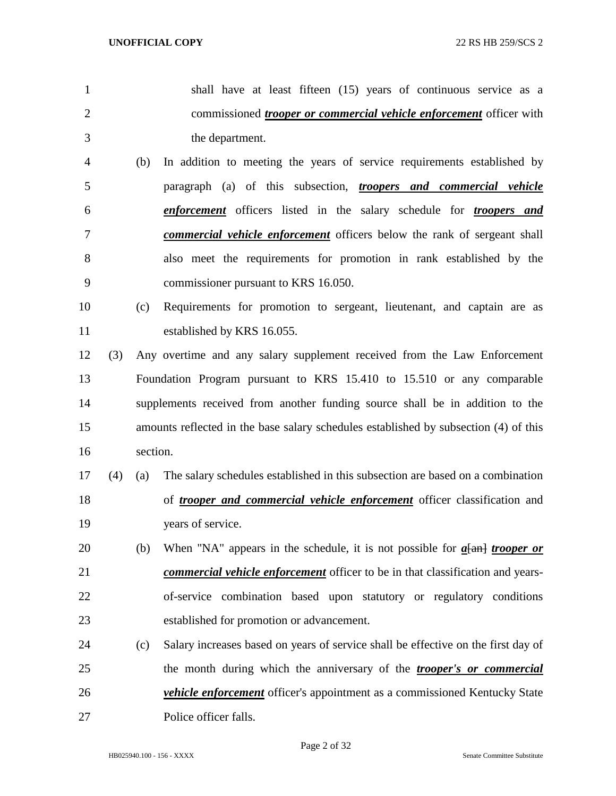- shall have at least fifteen (15) years of continuous service as a commissioned *trooper or commercial vehicle enforcement* officer with the department. (b) In addition to meeting the years of service requirements established by
- paragraph (a) of this subsection, *troopers and commercial vehicle enforcement* officers listed in the salary schedule for *troopers and commercial vehicle enforcement* officers below the rank of sergeant shall also meet the requirements for promotion in rank established by the commissioner pursuant to KRS 16.050.
- (c) Requirements for promotion to sergeant, lieutenant, and captain are as established by KRS 16.055.
- (3) Any overtime and any salary supplement received from the Law Enforcement Foundation Program pursuant to KRS 15.410 to 15.510 or any comparable supplements received from another funding source shall be in addition to the amounts reflected in the base salary schedules established by subsection (4) of this section.
- (4) (a) The salary schedules established in this subsection are based on a combination of *trooper and commercial vehicle enforcement* officer classification and years of service.
- (b) When "NA" appears in the schedule, it is not possible for *a*[an] *trooper or commercial vehicle enforcement* officer to be in that classification and years- of-service combination based upon statutory or regulatory conditions established for promotion or advancement.
- (c) Salary increases based on years of service shall be effective on the first day of the month during which the anniversary of the *trooper's or commercial vehicle enforcement* officer's appointment as a commissioned Kentucky State Police officer falls.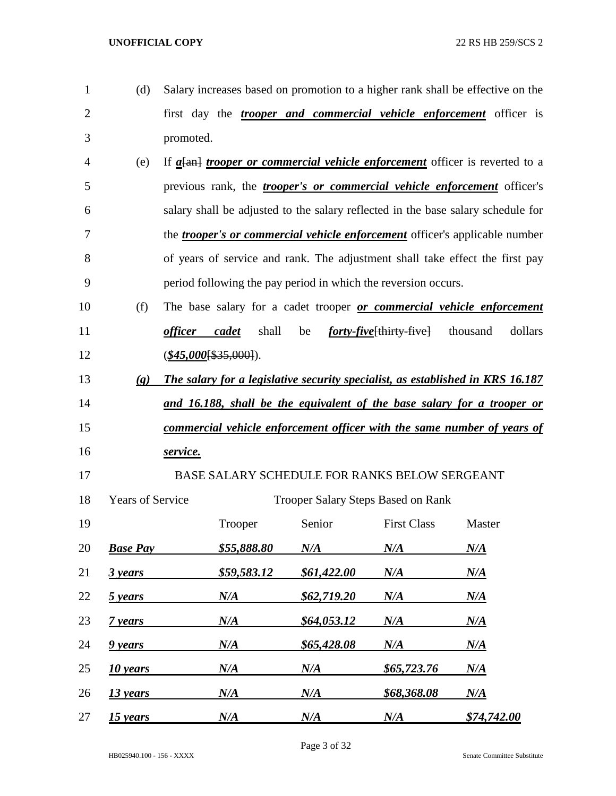| 1              | (d)                         |                |                          |                                                                |                                          | Salary increases based on promotion to a higher rank shall be effective on the        |
|----------------|-----------------------------|----------------|--------------------------|----------------------------------------------------------------|------------------------------------------|---------------------------------------------------------------------------------------|
| $\overline{2}$ |                             |                |                          |                                                                |                                          | first day the <i>trooper and commercial vehicle enforcement</i> officer is            |
| 3              |                             | promoted.      |                          |                                                                |                                          |                                                                                       |
| 4              | (e)                         |                |                          |                                                                |                                          | If $a$ [an] <i>trooper or commercial vehicle enforcement</i> officer is reverted to a |
| 5              |                             |                |                          |                                                                |                                          | previous rank, the <i>trooper's or commercial vehicle enforcement</i> officer's       |
| 6              |                             |                |                          |                                                                |                                          | salary shall be adjusted to the salary reflected in the base salary schedule for      |
| 7              |                             |                |                          |                                                                |                                          | the <i>trooper's or commercial vehicle enforcement</i> officer's applicable number    |
| 8              |                             |                |                          |                                                                |                                          | of years of service and rank. The adjustment shall take effect the first pay          |
| 9              |                             |                |                          | period following the pay period in which the reversion occurs. |                                          |                                                                                       |
| 10             | (f)                         |                |                          |                                                                |                                          | The base salary for a cadet trooper or commercial vehicle enforcement                 |
| 11             |                             | <i>officer</i> | shall<br>cadet           | be                                                             | <i>forty-five</i> [thirty-five] thousand | dollars                                                                               |
| 12             |                             |                | $(\$45,000$ [\$35,000]). |                                                                |                                          |                                                                                       |
| 13             | $\left( \mathbf{g} \right)$ |                |                          |                                                                |                                          | The salary for a legislative security specialist, as established in KRS 16.187        |
| 14             |                             |                |                          |                                                                |                                          | <u>and 16.188, shall be the equivalent of the base salary for a trooper or</u>        |
| 15             |                             |                |                          |                                                                |                                          | <u>commercial vehicle enforcement officer with the same number of years of</u>        |
| 16             |                             | service.       |                          |                                                                |                                          |                                                                                       |
| 17             |                             |                |                          | BASE SALARY SCHEDULE FOR RANKS BELOW SERGEANT                  |                                          |                                                                                       |
| 18             | <b>Years of Service</b>     |                |                          | <b>Trooper Salary Steps Based on Rank</b>                      |                                          |                                                                                       |
| 19             |                             |                | Trooper                  | Senior                                                         | <b>First Class</b>                       | Master                                                                                |
| 20             | <b>Base Pay</b>             |                | <u>\$55,888.80</u>       | $N\!/\!A$                                                      | $N\!/\!A$                                | $N\!/\!A$                                                                             |
| 21             | 3 years                     |                | \$59,583.12              | \$61,422.00                                                    | $N\!/\!A$                                | $N\!/\!A$                                                                             |
| 22             | 5 years                     |                | $N\!/\!A$                | \$62,719.20                                                    | N/A                                      | $N\!/\!A$                                                                             |
| 23             | 7 years                     |                | N/A                      | \$64,053.12                                                    | $N\!/\!A$                                | $N\!/\!A$                                                                             |
| 24             | 9 years                     |                | N/A                      | \$65,428.08                                                    | $N\!/\!A$                                | $N\!/\!A$                                                                             |
| 25             | 10 years                    |                | N/A                      | $N\!/\!A$                                                      | <u>\$65,723.76</u>                       | $N\!/\!A$                                                                             |
| 26             | 13 years                    |                | N/A                      | N/A                                                            | <u>\$68,368.08</u>                       | $N\!/\!A$                                                                             |
| 27             | 15 years                    |                | N/A                      | N/A                                                            | $N\!/\!A$                                | \$74,742.00                                                                           |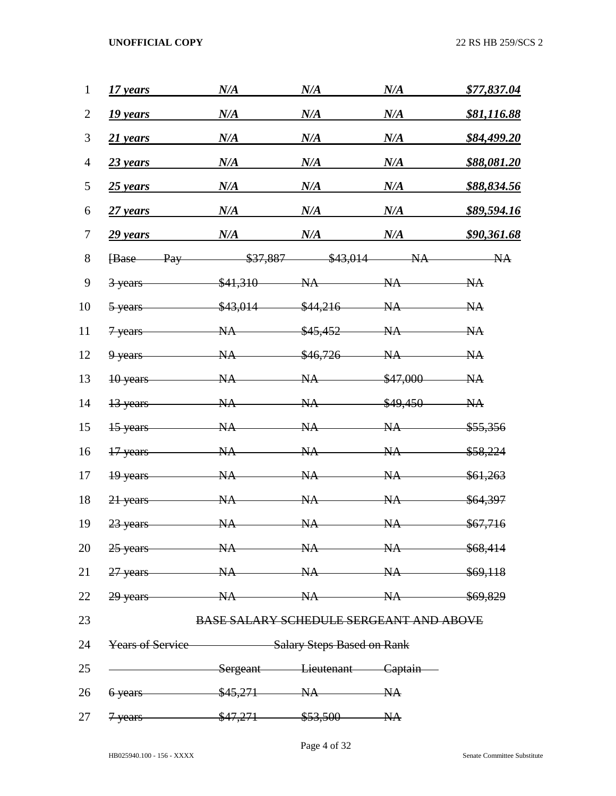| 1              | 17 years                                           | N/A                                            | N/A      | N/A       | \$77,837.04         |  |
|----------------|----------------------------------------------------|------------------------------------------------|----------|-----------|---------------------|--|
| $\overline{2}$ | 19 years                                           | N/A                                            | N/A      | N/A       | <u>\$81,116.88</u>  |  |
| 3              | 21 years                                           | N/A                                            | N/A      | N/A       | \$84,499.20         |  |
| $\overline{4}$ | $23$ years                                         | N/A                                            | N/A      | N/A       | \$88,081.20         |  |
| 5              | $25$ years                                         | N/A                                            | N/A      | N/A       | \$88,834.56         |  |
| 6              | $27$ years                                         | N/A                                            | N/A      | N/A       | \$89,594.16         |  |
| 7              | 29 years                                           | N/A                                            | N/A      | N/A       | \$90,361.68         |  |
| 8              | <b>Base</b><br>Pay                                 | \$37,887                                       | \$43,014 | NA        | NA                  |  |
| 9              | 3 years                                            | \$41,310                                       | NA       | NA        | NA                  |  |
| 10             | 5 years                                            | \$43,014                                       | \$44,216 | NA        | NA                  |  |
| 11             | 7 years                                            | <b>NA</b>                                      | \$45,452 | <b>NA</b> | NA                  |  |
| 12             | 9 years                                            | <b>NA</b>                                      | \$46,726 | <b>NA</b> | NA                  |  |
| 13             | 10 years                                           | <b>NA</b>                                      | NA       | \$47,000  | NA                  |  |
| 14             | 13 years                                           | <b>NA</b>                                      | NA       | \$49,450  | NA                  |  |
| 15             | 15 years                                           | <b>NA</b>                                      | NA       | NA        | \$55,356            |  |
| 16             | 17 years                                           | <b>NA</b>                                      | NA       | NA        | <del>\$58,224</del> |  |
| 17             | 19 years                                           | NA                                             | NA       | NA        | \$61,263            |  |
| 18             | 21 years                                           | <b>NA</b>                                      | NA       | NA        | \$64,397            |  |
| 19             | 23 years                                           | NA                                             | NA       | NA        | \$67,716            |  |
|                | 20 25 years NA NA NA \$68,414                      |                                                |          |           |                     |  |
|                | 21 27 years NA NA NA \$69,118                      |                                                |          |           |                     |  |
|                | 22 29 years – NA NA NA \$69,829                    |                                                |          |           |                     |  |
| 23             |                                                    | <b>BASE SALARY SCHEDULE SERGEANT AND ABOVE</b> |          |           |                     |  |
| 24             | <b>Years of Service</b> Salary Steps Based on Rank |                                                |          |           |                     |  |
| 25             | Sergeant Lieutenant Captain                        |                                                |          |           |                     |  |
|                | 26 6 years \$45,271 NA NA                          |                                                |          |           |                     |  |
|                | 27 <del>7 years \$47,271 \$53,500 NA</del>         |                                                |          |           |                     |  |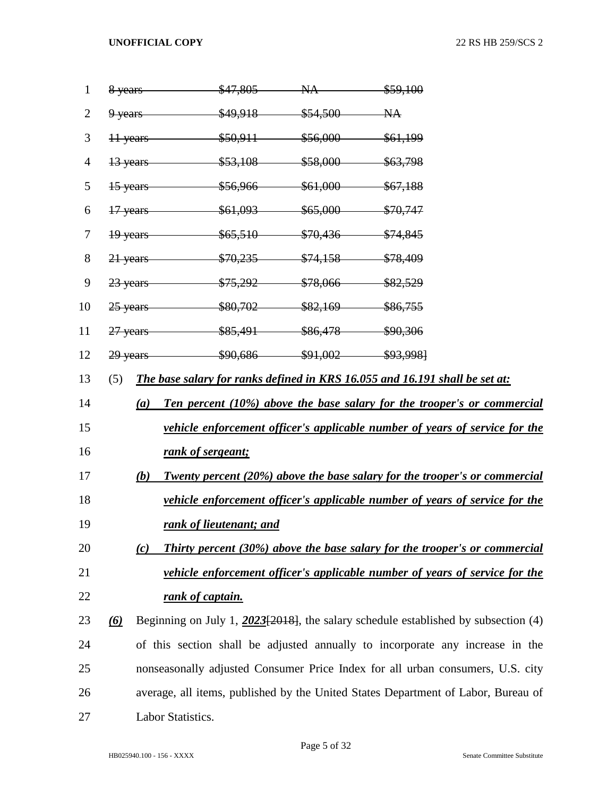| $\mathbf{1}$   |          |     | 8 years                              | $$47,805$ NA | \$59,100                                                                              |
|----------------|----------|-----|--------------------------------------|--------------|---------------------------------------------------------------------------------------|
| $\overline{2}$ |          |     | 9 years \$49,918 \$54,500 NA         |              |                                                                                       |
| 3              |          |     | 11 years \$50,911 \$56,000 \$61,199  |              |                                                                                       |
| 4              |          |     | 13 years \$53,108 \$58,000 \$63,798  |              |                                                                                       |
| 5              |          |     | 15 years \$56,966 \$61,000 \$67,188  |              |                                                                                       |
| 6              |          |     | 17 years \$61,093 \$65,000 \$70,747  |              |                                                                                       |
| 7              |          |     | 19 years \$65,510 \$70,436 \$74,845  |              |                                                                                       |
| 8              |          |     | 21 years \$70,235 \$74,158 \$78,409  |              |                                                                                       |
| 9              |          |     | 23 years \$75,292 \$78,066 \$82,529  |              |                                                                                       |
| 10             |          |     | 25 years \$80,702 \$82,169 \$86,755  |              |                                                                                       |
| 11             |          |     | 27 years \$85,491 \$86,478 \$90,306  |              |                                                                                       |
| 12             |          |     | 29 years \$90,686 \$91,002 \$93,998] |              |                                                                                       |
| 13             | (5)      |     |                                      |              | The base salary for ranks defined in KRS 16.055 and 16.191 shall be set at:           |
| 14             |          | (a) |                                      |              | Ten percent (10%) above the base salary for the trooper's or commercial               |
| 15             |          |     |                                      |              | <u>vehicle enforcement officer's applicable number of years of service for the</u>    |
| 16             |          |     | rank of sergeant;                    |              |                                                                                       |
| 17             |          | (b) |                                      |              | Twenty percent (20%) above the base salary for the trooper's or commercial            |
| 18             |          |     |                                      |              | vehicle enforcement officer's applicable number of years of service for the           |
| 19             |          |     | rank of lieutenant; and              |              |                                                                                       |
| 20             |          | (c) |                                      |              | <b>Thirty percent (30%) above the base salary for the trooper's or commercial</b>     |
| 21             |          |     |                                      |              | vehicle enforcement officer's applicable number of years of service for the           |
| 22             |          |     | rank of captain.                     |              |                                                                                       |
| 23             | $\omega$ |     |                                      |              | Beginning on July 1, $2023[2018]$ , the salary schedule established by subsection (4) |
| 24             |          |     |                                      |              | of this section shall be adjusted annually to incorporate any increase in the         |
| 25             |          |     |                                      |              | nonseasonally adjusted Consumer Price Index for all urban consumers, U.S. city        |
| 26             |          |     |                                      |              | average, all items, published by the United States Department of Labor, Bureau of     |
| 27             |          |     | Labor Statistics.                    |              |                                                                                       |
|                |          |     |                                      |              |                                                                                       |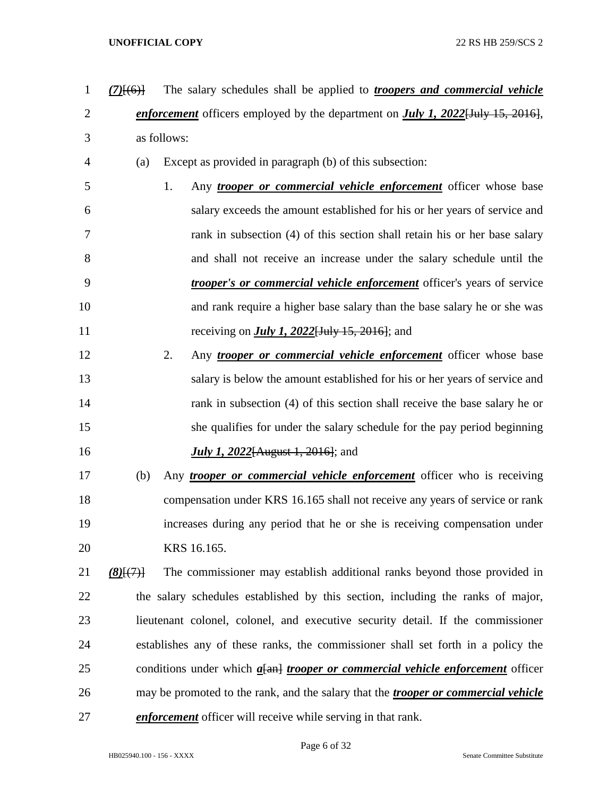- *(7)*[(6)] The salary schedules shall be applied to *troopers and commercial vehicle enforcement* officers employed by the department on *July 1, 2022*[July 15, 2016], as follows: (a) Except as provided in paragraph (b) of this subsection: 1. Any *trooper or commercial vehicle enforcement* officer whose base salary exceeds the amount established for his or her years of service and rank in subsection (4) of this section shall retain his or her base salary and shall not receive an increase under the salary schedule until the *trooper's or commercial vehicle enforcement* officer's years of service
- and rank require a higher base salary than the base salary he or she was receiving on *July 1, 2022*[July 15, 2016]; and
- 2. Any *trooper or commercial vehicle enforcement* officer whose base salary is below the amount established for his or her years of service and 14 rank in subsection (4) of this section shall receive the base salary he or she qualifies for under the salary schedule for the pay period beginning *July 1, 2022*[August 1, 2016]; and
- (b) Any *trooper or commercial vehicle enforcement* officer who is receiving compensation under KRS 16.165 shall not receive any years of service or rank increases during any period that he or she is receiving compensation under KRS 16.165.
- *(8)*[(7)] The commissioner may establish additional ranks beyond those provided in the salary schedules established by this section, including the ranks of major, lieutenant colonel, colonel, and executive security detail. If the commissioner establishes any of these ranks, the commissioner shall set forth in a policy the conditions under which *a*[an] *trooper or commercial vehicle enforcement* officer may be promoted to the rank, and the salary that the *trooper or commercial vehicle enforcement* officer will receive while serving in that rank.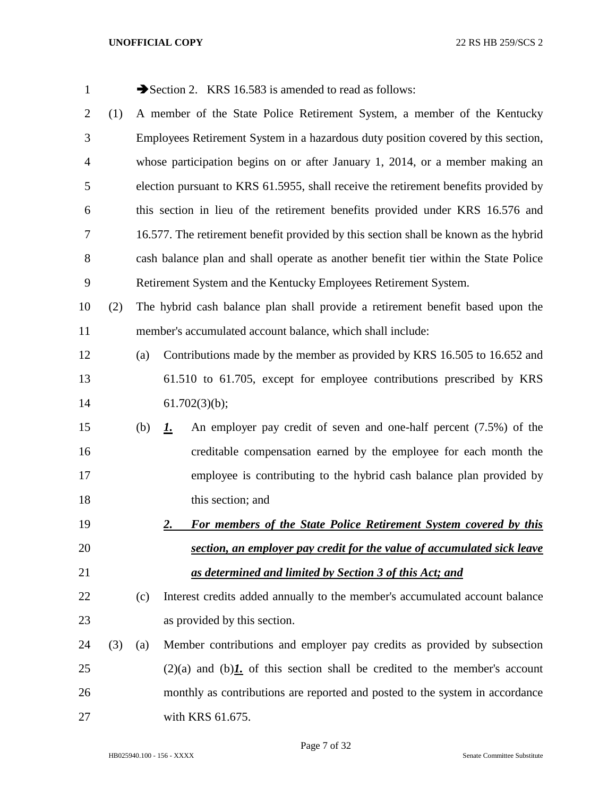| $\mathbf{1}$   |     |     | Section 2. KRS 16.583 is amended to read as follows:                                 |  |  |  |  |
|----------------|-----|-----|--------------------------------------------------------------------------------------|--|--|--|--|
| $\overline{2}$ | (1) |     | A member of the State Police Retirement System, a member of the Kentucky             |  |  |  |  |
| 3              |     |     | Employees Retirement System in a hazardous duty position covered by this section,    |  |  |  |  |
| 4              |     |     | whose participation begins on or after January 1, 2014, or a member making an        |  |  |  |  |
| 5              |     |     | election pursuant to KRS 61.5955, shall receive the retirement benefits provided by  |  |  |  |  |
| 6              |     |     | this section in lieu of the retirement benefits provided under KRS 16.576 and        |  |  |  |  |
| 7              |     |     | 16.577. The retirement benefit provided by this section shall be known as the hybrid |  |  |  |  |
| 8              |     |     | cash balance plan and shall operate as another benefit tier within the State Police  |  |  |  |  |
| 9              |     |     | Retirement System and the Kentucky Employees Retirement System.                      |  |  |  |  |
| 10             | (2) |     | The hybrid cash balance plan shall provide a retirement benefit based upon the       |  |  |  |  |
| 11             |     |     | member's accumulated account balance, which shall include:                           |  |  |  |  |
| 12             |     | (a) | Contributions made by the member as provided by KRS 16.505 to 16.652 and             |  |  |  |  |
| 13             |     |     | 61.510 to 61.705, except for employee contributions prescribed by KRS                |  |  |  |  |
| 14             |     |     | 61.702(3)(b);                                                                        |  |  |  |  |
| 15             |     | (b) | An employer pay credit of seven and one-half percent (7.5%) of the<br><u>1.</u>      |  |  |  |  |
| 16             |     |     | creditable compensation earned by the employee for each month the                    |  |  |  |  |
| 17             |     |     | employee is contributing to the hybrid cash balance plan provided by                 |  |  |  |  |
| 18             |     |     | this section; and                                                                    |  |  |  |  |
| 19             |     |     | For members of the State Police Retirement System covered by this<br><u>2.</u>       |  |  |  |  |
| 20             |     |     | section, an employer pay credit for the value of accumulated sick leave              |  |  |  |  |
| 21             |     |     | as determined and limited by Section 3 of this Act; and                              |  |  |  |  |
| 22             |     | (c) | Interest credits added annually to the member's accumulated account balance          |  |  |  |  |
| 23             |     |     | as provided by this section.                                                         |  |  |  |  |
| 24             | (3) | (a) | Member contributions and employer pay credits as provided by subsection              |  |  |  |  |
| 25             |     |     | $(2)(a)$ and $(b)$ . of this section shall be credited to the member's account       |  |  |  |  |
| 26             |     |     | monthly as contributions are reported and posted to the system in accordance         |  |  |  |  |
| 27             |     |     | with KRS 61.675.                                                                     |  |  |  |  |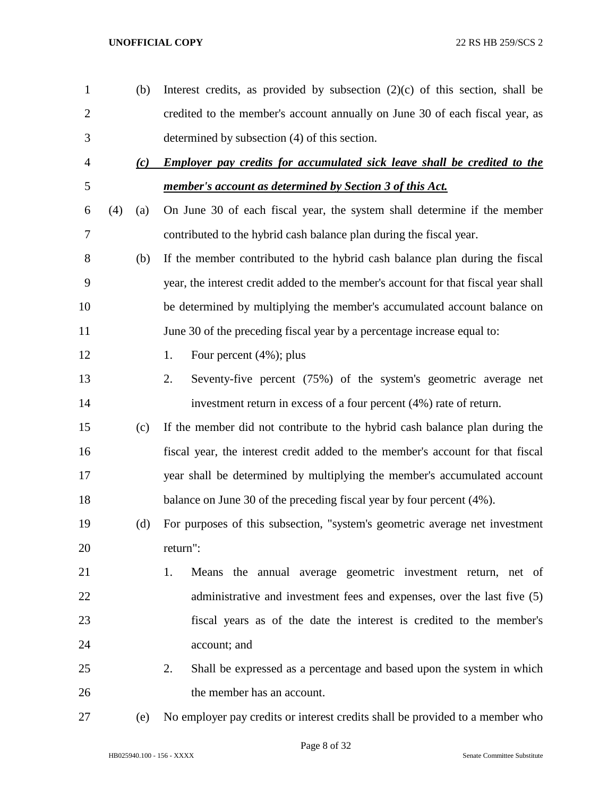| $\mathbf{1}$   |     | (b) | Interest credits, as provided by subsection $(2)(c)$ of this section, shall be     |
|----------------|-----|-----|------------------------------------------------------------------------------------|
| $\overline{2}$ |     |     | credited to the member's account annually on June 30 of each fiscal year, as       |
| 3              |     |     | determined by subsection (4) of this section.                                      |
| $\overline{4}$ |     | (c) | <b>Employer pay credits for accumulated sick leave shall be credited to the</b>    |
| 5              |     |     | member's account as determined by Section 3 of this Act.                           |
| 6              | (4) | (a) | On June 30 of each fiscal year, the system shall determine if the member           |
| $\overline{7}$ |     |     | contributed to the hybrid cash balance plan during the fiscal year.                |
| 8              |     | (b) | If the member contributed to the hybrid cash balance plan during the fiscal        |
| 9              |     |     | year, the interest credit added to the member's account for that fiscal year shall |
| 10             |     |     | be determined by multiplying the member's accumulated account balance on           |
| 11             |     |     | June 30 of the preceding fiscal year by a percentage increase equal to:            |
| 12             |     |     | Four percent $(4\%)$ ; plus<br>1.                                                  |
| 13             |     |     | Seventy-five percent (75%) of the system's geometric average net<br>2.             |
| 14             |     |     | investment return in excess of a four percent (4%) rate of return.                 |
| 15             |     | (c) | If the member did not contribute to the hybrid cash balance plan during the        |
| 16             |     |     | fiscal year, the interest credit added to the member's account for that fiscal     |
| 17             |     |     | year shall be determined by multiplying the member's accumulated account           |
| 18             |     |     | balance on June 30 of the preceding fiscal year by four percent (4%).              |
| 19             |     | (d) | For purposes of this subsection, "system's geometric average net investment        |
| 20             |     |     | return":                                                                           |
| 21             |     |     | Means the annual average geometric investment return, net of<br>1.                 |
| 22             |     |     | administrative and investment fees and expenses, over the last five (5)            |
| 23             |     |     | fiscal years as of the date the interest is credited to the member's               |
| 24             |     |     | account; and                                                                       |
| 25             |     |     | Shall be expressed as a percentage and based upon the system in which<br>2.        |
| 26             |     |     | the member has an account.                                                         |
| $27\,$         |     | (e) | No employer pay credits or interest credits shall be provided to a member who      |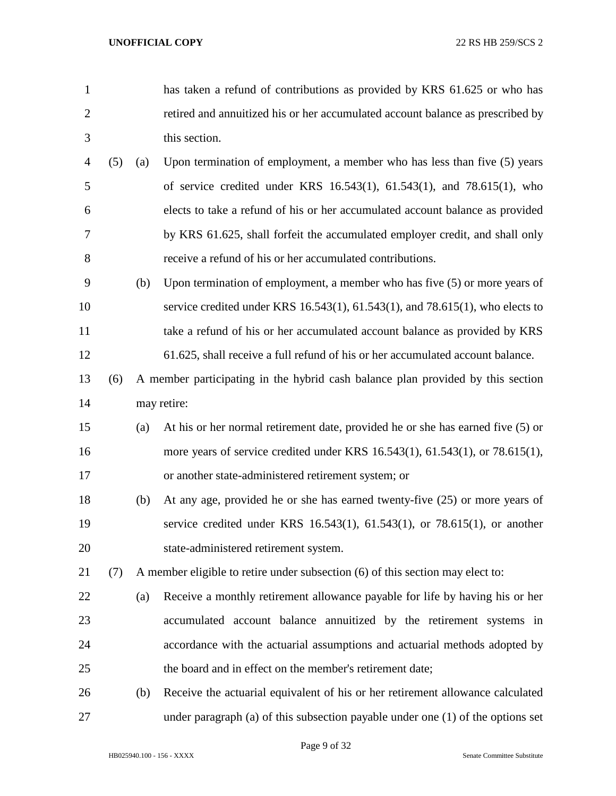- has taken a refund of contributions as provided by KRS 61.625 or who has retired and annuitized his or her accumulated account balance as prescribed by this section.
- (5) (a) Upon termination of employment, a member who has less than five (5) years of service credited under KRS 16.543(1), 61.543(1), and 78.615(1), who elects to take a refund of his or her accumulated account balance as provided by KRS 61.625, shall forfeit the accumulated employer credit, and shall only receive a refund of his or her accumulated contributions.
- (b) Upon termination of employment, a member who has five (5) or more years of service credited under KRS 16.543(1), 61.543(1), and 78.615(1), who elects to take a refund of his or her accumulated account balance as provided by KRS 61.625, shall receive a full refund of his or her accumulated account balance.
- (6) A member participating in the hybrid cash balance plan provided by this section may retire:
- (a) At his or her normal retirement date, provided he or she has earned five (5) or more years of service credited under KRS 16.543(1), 61.543(1), or 78.615(1), or another state-administered retirement system; or
- (b) At any age, provided he or she has earned twenty-five (25) or more years of service credited under KRS 16.543(1), 61.543(1), or 78.615(1), or another state-administered retirement system.
- (7) A member eligible to retire under subsection (6) of this section may elect to:
- (a) Receive a monthly retirement allowance payable for life by having his or her accumulated account balance annuitized by the retirement systems in accordance with the actuarial assumptions and actuarial methods adopted by the board and in effect on the member's retirement date;
- (b) Receive the actuarial equivalent of his or her retirement allowance calculated under paragraph (a) of this subsection payable under one (1) of the options set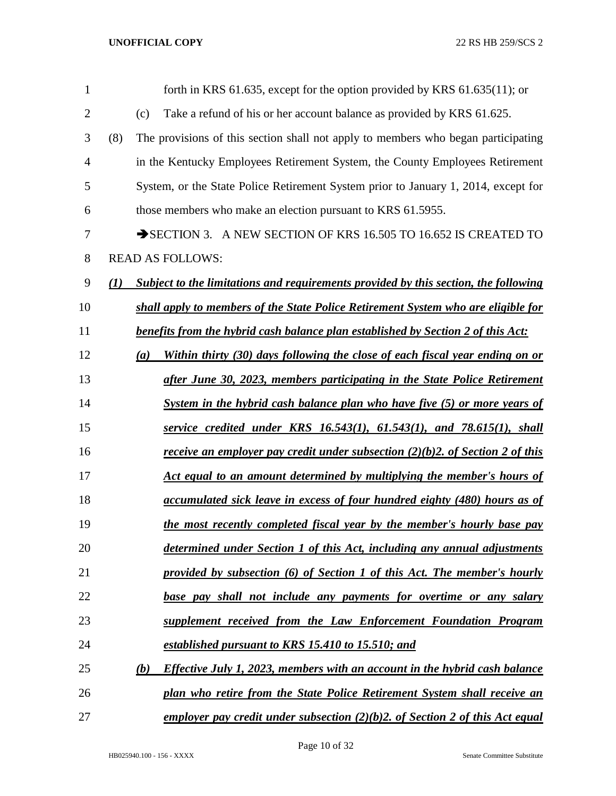| 1              |              | forth in KRS 61.635, except for the option provided by KRS 61.635(11); or                         |
|----------------|--------------|---------------------------------------------------------------------------------------------------|
| $\overline{2}$ |              | (c)<br>Take a refund of his or her account balance as provided by KRS 61.625.                     |
| 3              | (8)          | The provisions of this section shall not apply to members who began participating                 |
| $\overline{4}$ |              | in the Kentucky Employees Retirement System, the County Employees Retirement                      |
| 5              |              | System, or the State Police Retirement System prior to January 1, 2014, except for                |
| 6              |              | those members who make an election pursuant to KRS 61.5955.                                       |
| 7              |              | SECTION 3. A NEW SECTION OF KRS 16.505 TO 16.652 IS CREATED TO                                    |
| 8              |              | <b>READ AS FOLLOWS:</b>                                                                           |
| 9              | $\mathbf{U}$ | Subject to the limitations and requirements provided by this section, the following               |
| 10             |              | shall apply to members of the State Police Retirement System who are eligible for                 |
| 11             |              | benefits from the hybrid cash balance plan established by Section 2 of this Act:                  |
| 12             |              | Within thirty (30) days following the close of each fiscal year ending on or<br>(a)               |
| 13             |              | after June 30, 2023, members participating in the State Police Retirement                         |
| 14             |              | System in the hybrid cash balance plan who have five (5) or more years of                         |
| 15             |              | service credited under KRS $16.543(1)$ , $61.543(1)$ , and $78.615(1)$ , shall                    |
| 16             |              | <u>receive an employer pay credit under subsection <math>(2)(b)2</math>. of Section 2 of this</u> |
| 17             |              | Act equal to an amount determined by multiplying the member's hours of                            |
| 18             |              | accumulated sick leave in excess of four hundred eighty (480) hours as of                         |
| 19             |              | the most recently completed fiscal year by the member's hourly base pay                           |
| 20             |              | determined under Section 1 of this Act, including any annual adjustments                          |
| 21             |              | provided by subsection (6) of Section 1 of this Act. The member's hourly                          |
| 22             |              | base pay shall not include any payments for overtime or any salary                                |
| 23             |              | supplement received from the Law Enforcement Foundation Program                                   |
| 24             |              | established pursuant to KRS 15.410 to 15.510; and                                                 |
| 25             |              | (b)<br><i>Effective July 1, 2023, members with an account in the hybrid cash balance</i>          |
| 26             |              | plan who retire from the State Police Retirement System shall receive an                          |
| 27             |              | employer pay credit under subsection $(2)(b)$ 2. of Section 2 of this Act equal                   |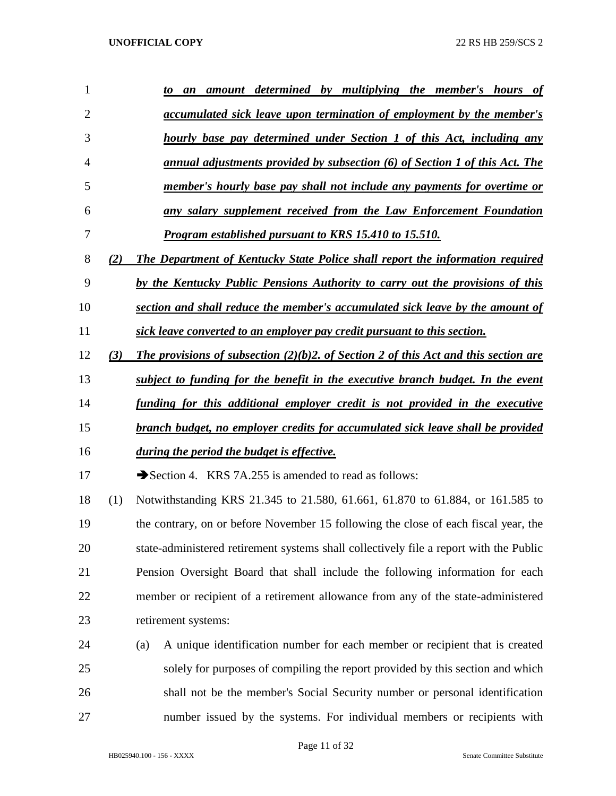| 1              |     | amount determined by multiplying the member's hours of<br>to<br>an                     |
|----------------|-----|----------------------------------------------------------------------------------------|
| $\overline{2}$ |     | <u>accumulated sick leave upon termination of employment by the member's</u>           |
| 3              |     | hourly base pay determined under Section 1 of this Act, including any                  |
| 4              |     | annual adjustments provided by subsection (6) of Section 1 of this Act. The            |
| 5              |     | member's hourly base pay shall not include any payments for overtime or                |
| 6              |     | any salary supplement received from the Law Enforcement Foundation                     |
| 7              |     | <b>Program established pursuant to KRS 15.410 to 15.510.</b>                           |
| 8              | (2) | The Department of Kentucky State Police shall report the information required          |
| 9              |     | by the Kentucky Public Pensions Authority to carry out the provisions of this          |
| 10             |     | section and shall reduce the member's accumulated sick leave by the amount of          |
| 11             |     | sick leave converted to an employer pay credit pursuant to this section.               |
| 12             | (3) | The provisions of subsection $(2)(b)$ . Of Section 2 of this Act and this section are  |
| 13             |     | subject to funding for the benefit in the executive branch budget. In the event        |
| 14             |     | funding for this additional employer credit is not provided in the executive           |
| 15             |     | branch budget, no employer credits for accumulated sick leave shall be provided        |
| 16             |     | during the period the budget is effective.                                             |
| 17             |     | Section 4. KRS 7A.255 is amended to read as follows:                                   |
| 18             | (1) | Notwithstanding KRS 21.345 to 21.580, 61.661, 61.870 to 61.884, or 161.585 to          |
| 19             |     | the contrary, on or before November 15 following the close of each fiscal year, the    |
| 20             |     | state-administered retirement systems shall collectively file a report with the Public |
| 21             |     | Pension Oversight Board that shall include the following information for each          |
| 22             |     | member or recipient of a retirement allowance from any of the state-administered       |
| 23             |     | retirement systems:                                                                    |
| 24             |     | A unique identification number for each member or recipient that is created<br>(a)     |
| 25             |     | solely for purposes of compiling the report provided by this section and which         |
| 26             |     | shall not be the member's Social Security number or personal identification            |
| 27             |     | number issued by the systems. For individual members or recipients with                |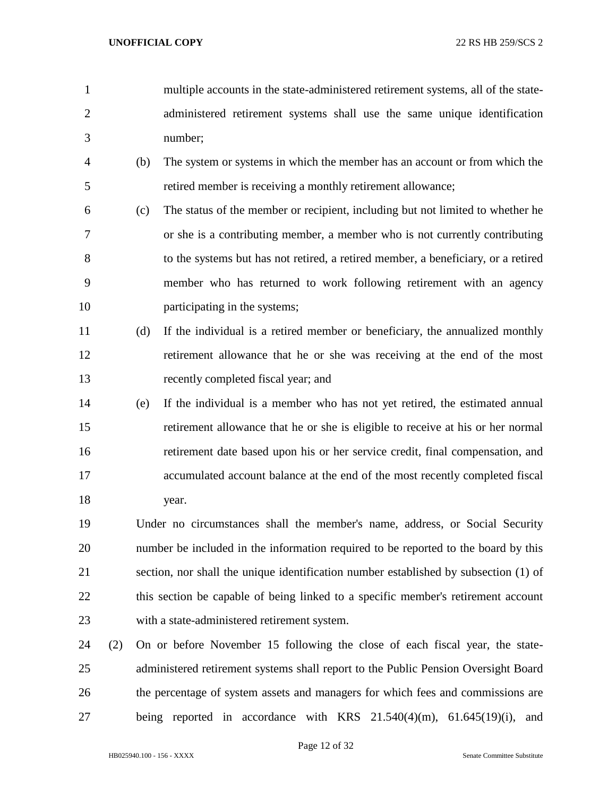- multiple accounts in the state-administered retirement systems, all of the state- administered retirement systems shall use the same unique identification number;
- (b) The system or systems in which the member has an account or from which the retired member is receiving a monthly retirement allowance;
- (c) The status of the member or recipient, including but not limited to whether he or she is a contributing member, a member who is not currently contributing to the systems but has not retired, a retired member, a beneficiary, or a retired member who has returned to work following retirement with an agency participating in the systems;
- (d) If the individual is a retired member or beneficiary, the annualized monthly retirement allowance that he or she was receiving at the end of the most recently completed fiscal year; and
- (e) If the individual is a member who has not yet retired, the estimated annual retirement allowance that he or she is eligible to receive at his or her normal retirement date based upon his or her service credit, final compensation, and accumulated account balance at the end of the most recently completed fiscal 18 year.
- Under no circumstances shall the member's name, address, or Social Security number be included in the information required to be reported to the board by this section, nor shall the unique identification number established by subsection (1) of 22 this section be capable of being linked to a specific member's retirement account with a state-administered retirement system.
- (2) On or before November 15 following the close of each fiscal year, the state- administered retirement systems shall report to the Public Pension Oversight Board the percentage of system assets and managers for which fees and commissions are being reported in accordance with KRS 21.540(4)(m), 61.645(19)(i), and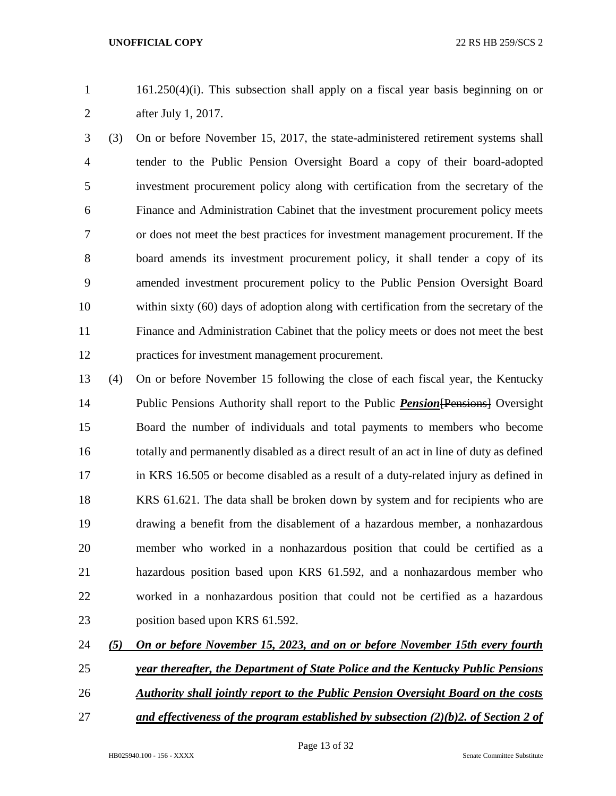161.250(4)(i). This subsection shall apply on a fiscal year basis beginning on or after July 1, 2017.

 (3) On or before November 15, 2017, the state-administered retirement systems shall tender to the Public Pension Oversight Board a copy of their board-adopted investment procurement policy along with certification from the secretary of the Finance and Administration Cabinet that the investment procurement policy meets or does not meet the best practices for investment management procurement. If the board amends its investment procurement policy, it shall tender a copy of its amended investment procurement policy to the Public Pension Oversight Board within sixty (60) days of adoption along with certification from the secretary of the Finance and Administration Cabinet that the policy meets or does not meet the best practices for investment management procurement.

 (4) On or before November 15 following the close of each fiscal year, the Kentucky Public Pensions Authority shall report to the Public *Pension*[Pensions] Oversight Board the number of individuals and total payments to members who become totally and permanently disabled as a direct result of an act in line of duty as defined in KRS 16.505 or become disabled as a result of a duty-related injury as defined in KRS 61.621. The data shall be broken down by system and for recipients who are drawing a benefit from the disablement of a hazardous member, a nonhazardous member who worked in a nonhazardous position that could be certified as a hazardous position based upon KRS 61.592, and a nonhazardous member who worked in a nonhazardous position that could not be certified as a hazardous 23 position based upon KRS 61.592.

*(5) On or before November 15, 2023, and on or before November 15th every fourth* 

- *year thereafter, the Department of State Police and the Kentucky Public Pensions*
- *Authority shall jointly report to the Public Pension Oversight Board on the costs*
- 
- *and effectiveness of the program established by subsection (2)(b)2. of Section 2 of*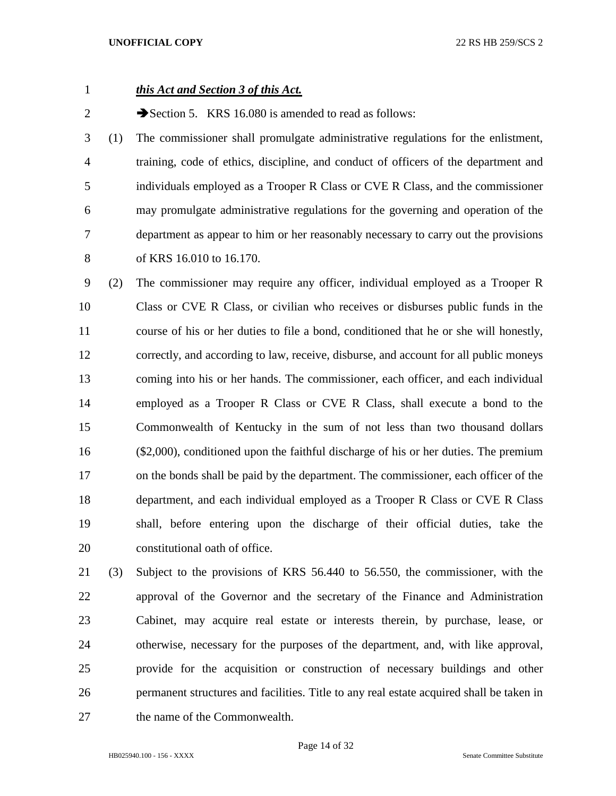# *this Act and Section 3 of this Act.*

2 Section 5. KRS 16.080 is amended to read as follows:

 (1) The commissioner shall promulgate administrative regulations for the enlistment, training, code of ethics, discipline, and conduct of officers of the department and individuals employed as a Trooper R Class or CVE R Class, and the commissioner may promulgate administrative regulations for the governing and operation of the department as appear to him or her reasonably necessary to carry out the provisions of KRS 16.010 to 16.170.

 (2) The commissioner may require any officer, individual employed as a Trooper R Class or CVE R Class, or civilian who receives or disburses public funds in the course of his or her duties to file a bond, conditioned that he or she will honestly, correctly, and according to law, receive, disburse, and account for all public moneys coming into his or her hands. The commissioner, each officer, and each individual employed as a Trooper R Class or CVE R Class, shall execute a bond to the Commonwealth of Kentucky in the sum of not less than two thousand dollars (\$2,000), conditioned upon the faithful discharge of his or her duties. The premium on the bonds shall be paid by the department. The commissioner, each officer of the department, and each individual employed as a Trooper R Class or CVE R Class shall, before entering upon the discharge of their official duties, take the constitutional oath of office.

 (3) Subject to the provisions of KRS 56.440 to 56.550, the commissioner, with the approval of the Governor and the secretary of the Finance and Administration Cabinet, may acquire real estate or interests therein, by purchase, lease, or otherwise, necessary for the purposes of the department, and, with like approval, provide for the acquisition or construction of necessary buildings and other permanent structures and facilities. Title to any real estate acquired shall be taken in the name of the Commonwealth.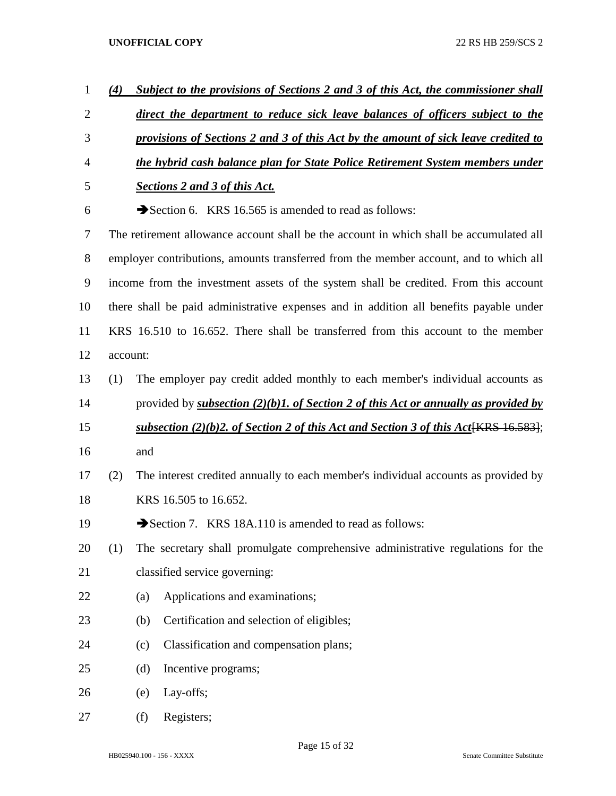| $\mathbf{1}$   | (4)                                                                                |     | Subject to the provisions of Sections 2 and 3 of this Act, the commissioner shall                    |  |  |  |
|----------------|------------------------------------------------------------------------------------|-----|------------------------------------------------------------------------------------------------------|--|--|--|
| $\overline{2}$ |                                                                                    |     | direct the department to reduce sick leave balances of officers subject to the                       |  |  |  |
| 3              | provisions of Sections 2 and 3 of this Act by the amount of sick leave credited to |     |                                                                                                      |  |  |  |
| $\overline{4}$ |                                                                                    |     | the hybrid cash balance plan for State Police Retirement System members under                        |  |  |  |
| 5              |                                                                                    |     | <b>Sections 2 and 3 of this Act.</b>                                                                 |  |  |  |
| 6              |                                                                                    |     | Section 6. KRS 16.565 is amended to read as follows:                                                 |  |  |  |
| 7              |                                                                                    |     | The retirement allowance account shall be the account in which shall be accumulated all              |  |  |  |
| 8              |                                                                                    |     | employer contributions, amounts transferred from the member account, and to which all                |  |  |  |
| 9              |                                                                                    |     | income from the investment assets of the system shall be credited. From this account                 |  |  |  |
| 10             |                                                                                    |     | there shall be paid administrative expenses and in addition all benefits payable under               |  |  |  |
| 11             |                                                                                    |     | KRS 16.510 to 16.652. There shall be transferred from this account to the member                     |  |  |  |
| 12             | account:                                                                           |     |                                                                                                      |  |  |  |
| 13             | (1)                                                                                |     | The employer pay credit added monthly to each member's individual accounts as                        |  |  |  |
| 14             |                                                                                    |     | provided by <i>subsection</i> $(2)(b)$ <i>l. of Section 2 of this Act or annually as provided by</i> |  |  |  |
| 15             |                                                                                    |     | <u>subsection (2)(b)2. of Section 2 of this Act and Section 3 of this Act[KRS 16.583]</u> ;          |  |  |  |
| 16             |                                                                                    | and |                                                                                                      |  |  |  |
| 17             | (2)                                                                                |     | The interest credited annually to each member's individual accounts as provided by                   |  |  |  |
| 18             |                                                                                    |     | KRS 16.505 to 16.652.                                                                                |  |  |  |
| 19             |                                                                                    |     | Section 7. KRS 18A.110 is amended to read as follows:                                                |  |  |  |
| 20             | (1)                                                                                |     | The secretary shall promulgate comprehensive administrative regulations for the                      |  |  |  |
| 21             |                                                                                    |     | classified service governing:                                                                        |  |  |  |
| 22             |                                                                                    | (a) | Applications and examinations;                                                                       |  |  |  |
| 23             |                                                                                    | (b) | Certification and selection of eligibles;                                                            |  |  |  |
| 24             |                                                                                    | (c) | Classification and compensation plans;                                                               |  |  |  |
| 25             |                                                                                    | (d) | Incentive programs;                                                                                  |  |  |  |
| 26             |                                                                                    | (e) | Lay-offs;                                                                                            |  |  |  |
| 27             |                                                                                    | (f) | Registers;                                                                                           |  |  |  |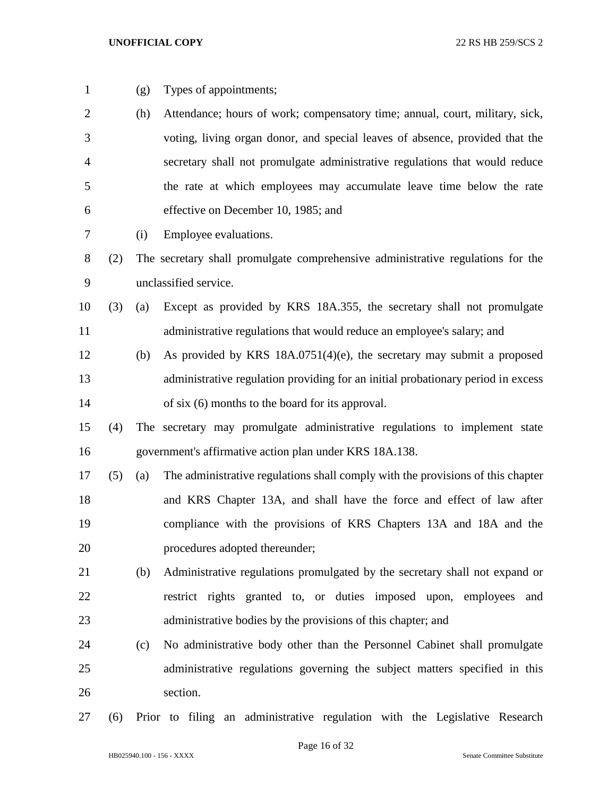- 
- (g) Types of appointments;
- (h) Attendance; hours of work; compensatory time; annual, court, military, sick, voting, living organ donor, and special leaves of absence, provided that the secretary shall not promulgate administrative regulations that would reduce the rate at which employees may accumulate leave time below the rate effective on December 10, 1985; and
- (i) Employee evaluations.
- (2) The secretary shall promulgate comprehensive administrative regulations for the unclassified service.
- (3) (a) Except as provided by KRS 18A.355, the secretary shall not promulgate 11 administrative regulations that would reduce an employee's salary; and
- (b) As provided by KRS 18A.0751(4)(e), the secretary may submit a proposed administrative regulation providing for an initial probationary period in excess of six (6) months to the board for its approval.
- (4) The secretary may promulgate administrative regulations to implement state government's affirmative action plan under KRS 18A.138.
- (5) (a) The administrative regulations shall comply with the provisions of this chapter and KRS Chapter 13A, and shall have the force and effect of law after compliance with the provisions of KRS Chapters 13A and 18A and the procedures adopted thereunder;
- (b) Administrative regulations promulgated by the secretary shall not expand or restrict rights granted to, or duties imposed upon, employees and administrative bodies by the provisions of this chapter; and
- (c) No administrative body other than the Personnel Cabinet shall promulgate administrative regulations governing the subject matters specified in this section.
- (6) Prior to filing an administrative regulation with the Legislative Research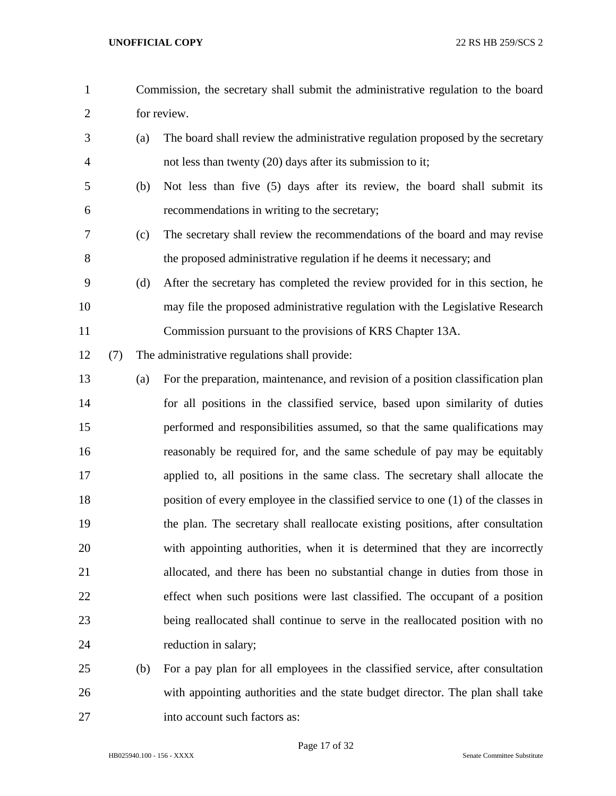- Commission, the secretary shall submit the administrative regulation to the board for review. (a) The board shall review the administrative regulation proposed by the secretary not less than twenty (20) days after its submission to it; (b) Not less than five (5) days after its review, the board shall submit its recommendations in writing to the secretary; (c) The secretary shall review the recommendations of the board and may revise the proposed administrative regulation if he deems it necessary; and (d) After the secretary has completed the review provided for in this section, he may file the proposed administrative regulation with the Legislative Research Commission pursuant to the provisions of KRS Chapter 13A. (7) The administrative regulations shall provide: (a) For the preparation, maintenance, and revision of a position classification plan for all positions in the classified service, based upon similarity of duties performed and responsibilities assumed, so that the same qualifications may reasonably be required for, and the same schedule of pay may be equitably applied to, all positions in the same class. The secretary shall allocate the position of every employee in the classified service to one (1) of the classes in the plan. The secretary shall reallocate existing positions, after consultation with appointing authorities, when it is determined that they are incorrectly allocated, and there has been no substantial change in duties from those in effect when such positions were last classified. The occupant of a position being reallocated shall continue to serve in the reallocated position with no 24 reduction in salary; (b) For a pay plan for all employees in the classified service, after consultation
- with appointing authorities and the state budget director. The plan shall take into account such factors as:
	- HB025940.100 156 XXXX Senate Committee Substitute

Page 17 of 32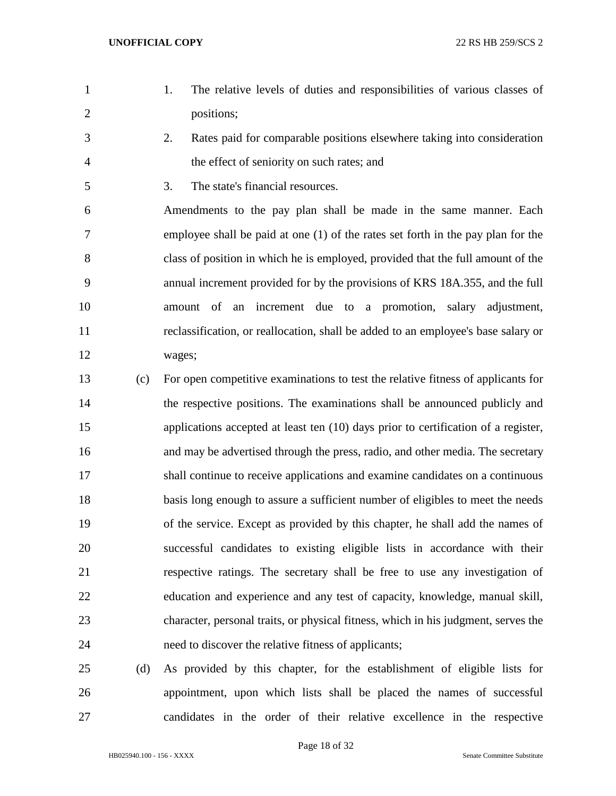- 1. The relative levels of duties and responsibilities of various classes of positions;
- 2. Rates paid for comparable positions elsewhere taking into consideration the effect of seniority on such rates; and
- 3. The state's financial resources.

 Amendments to the pay plan shall be made in the same manner. Each employee shall be paid at one (1) of the rates set forth in the pay plan for the class of position in which he is employed, provided that the full amount of the annual increment provided for by the provisions of KRS 18A.355, and the full amount of an increment due to a promotion, salary adjustment, reclassification, or reallocation, shall be added to an employee's base salary or wages;

- (c) For open competitive examinations to test the relative fitness of applicants for the respective positions. The examinations shall be announced publicly and applications accepted at least ten (10) days prior to certification of a register, and may be advertised through the press, radio, and other media. The secretary shall continue to receive applications and examine candidates on a continuous basis long enough to assure a sufficient number of eligibles to meet the needs of the service. Except as provided by this chapter, he shall add the names of successful candidates to existing eligible lists in accordance with their respective ratings. The secretary shall be free to use any investigation of education and experience and any test of capacity, knowledge, manual skill, character, personal traits, or physical fitness, which in his judgment, serves the need to discover the relative fitness of applicants;
- (d) As provided by this chapter, for the establishment of eligible lists for appointment, upon which lists shall be placed the names of successful candidates in the order of their relative excellence in the respective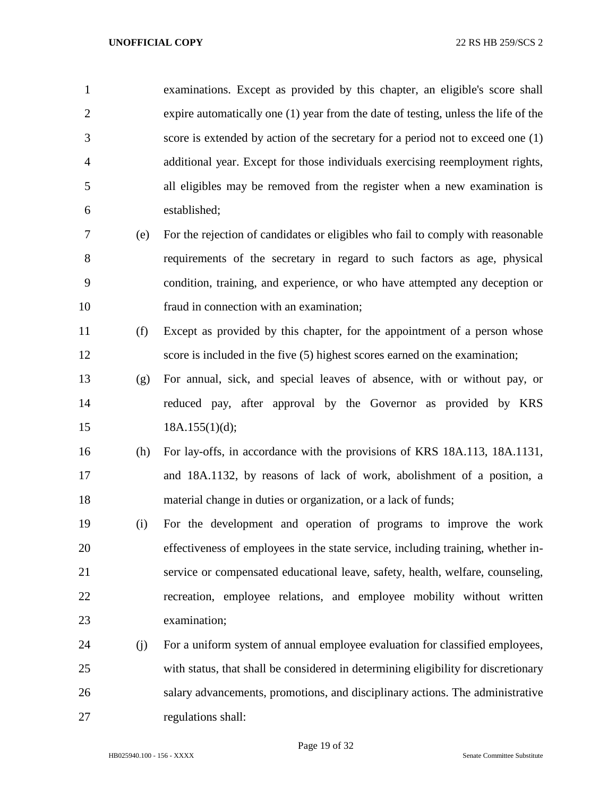examinations. Except as provided by this chapter, an eligible's score shall expire automatically one (1) year from the date of testing, unless the life of the score is extended by action of the secretary for a period not to exceed one (1) additional year. Except for those individuals exercising reemployment rights, all eligibles may be removed from the register when a new examination is established;

- (e) For the rejection of candidates or eligibles who fail to comply with reasonable requirements of the secretary in regard to such factors as age, physical condition, training, and experience, or who have attempted any deception or fraud in connection with an examination;
- (f) Except as provided by this chapter, for the appointment of a person whose score is included in the five (5) highest scores earned on the examination;
- (g) For annual, sick, and special leaves of absence, with or without pay, or reduced pay, after approval by the Governor as provided by KRS 15 18A.155(1)(d);
- (h) For lay-offs, in accordance with the provisions of KRS 18A.113, 18A.1131, and 18A.1132, by reasons of lack of work, abolishment of a position, a material change in duties or organization, or a lack of funds;
- (i) For the development and operation of programs to improve the work effectiveness of employees in the state service, including training, whether in- service or compensated educational leave, safety, health, welfare, counseling, recreation, employee relations, and employee mobility without written examination;
- (j) For a uniform system of annual employee evaluation for classified employees, with status, that shall be considered in determining eligibility for discretionary salary advancements, promotions, and disciplinary actions. The administrative regulations shall: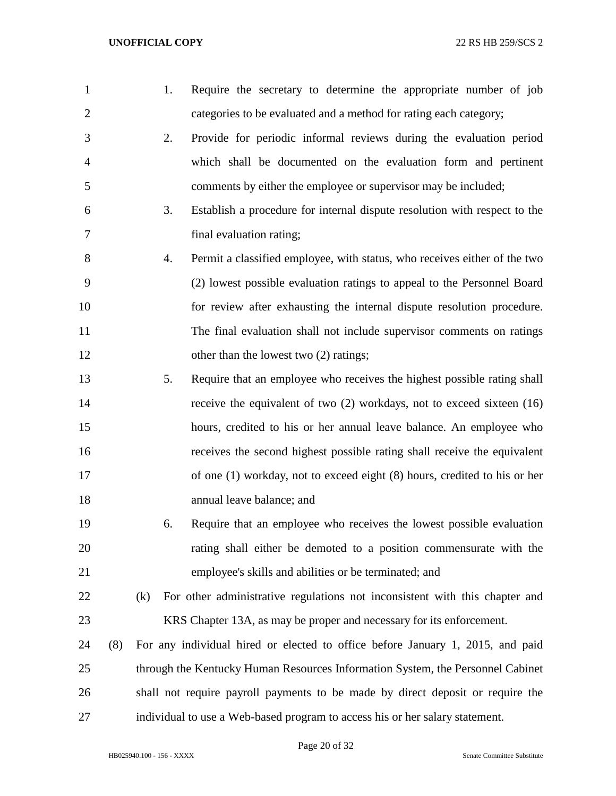| 1              |     |     | 1. | Require the secretary to determine the appropriate number of job               |
|----------------|-----|-----|----|--------------------------------------------------------------------------------|
| $\overline{2}$ |     |     |    | categories to be evaluated and a method for rating each category;              |
| 3              |     |     | 2. | Provide for periodic informal reviews during the evaluation period             |
| $\overline{4}$ |     |     |    | which shall be documented on the evaluation form and pertinent                 |
| 5              |     |     |    | comments by either the employee or supervisor may be included;                 |
| 6              |     |     | 3. | Establish a procedure for internal dispute resolution with respect to the      |
| 7              |     |     |    | final evaluation rating;                                                       |
| 8              |     |     | 4. | Permit a classified employee, with status, who receives either of the two      |
| 9              |     |     |    | (2) lowest possible evaluation ratings to appeal to the Personnel Board        |
| 10             |     |     |    | for review after exhausting the internal dispute resolution procedure.         |
| 11             |     |     |    | The final evaluation shall not include supervisor comments on ratings          |
| 12             |     |     |    | other than the lowest two (2) ratings;                                         |
| 13             |     |     | 5. | Require that an employee who receives the highest possible rating shall        |
| 14             |     |     |    | receive the equivalent of two $(2)$ workdays, not to exceed sixteen $(16)$     |
| 15             |     |     |    | hours, credited to his or her annual leave balance. An employee who            |
| 16             |     |     |    | receives the second highest possible rating shall receive the equivalent       |
| 17             |     |     |    | of one (1) workday, not to exceed eight (8) hours, credited to his or her      |
| 18             |     |     |    | annual leave balance; and                                                      |
| 19             |     |     | 6. | Require that an employee who receives the lowest possible evaluation           |
| 20             |     |     |    | rating shall either be demoted to a position commensurate with the             |
| 21             |     |     |    | employee's skills and abilities or be terminated; and                          |
| 22             |     | (k) |    | For other administrative regulations not inconsistent with this chapter and    |
| 23             |     |     |    | KRS Chapter 13A, as may be proper and necessary for its enforcement.           |
| 24             | (8) |     |    | For any individual hired or elected to office before January 1, 2015, and paid |
| 25             |     |     |    | through the Kentucky Human Resources Information System, the Personnel Cabinet |
| 26             |     |     |    | shall not require payroll payments to be made by direct deposit or require the |
| 27             |     |     |    | individual to use a Web-based program to access his or her salary statement.   |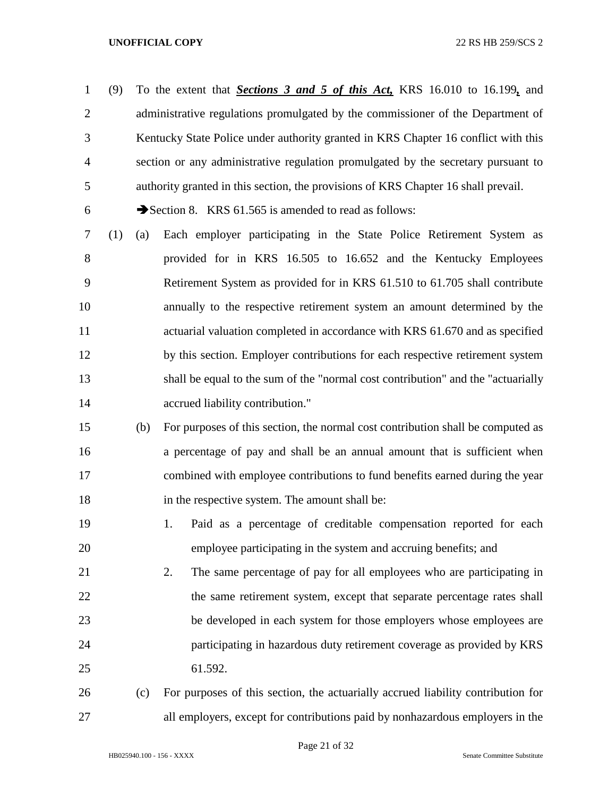(9) To the extent that *Sections 3 and 5 of this Act,* KRS 16.010 to 16.199*,* and 2 administrative regulations promulgated by the commissioner of the Department of Kentucky State Police under authority granted in KRS Chapter 16 conflict with this section or any administrative regulation promulgated by the secretary pursuant to authority granted in this section, the provisions of KRS Chapter 16 shall prevail.

6  $\rightarrow$  Section 8. KRS 61.565 is amended to read as follows:

 (1) (a) Each employer participating in the State Police Retirement System as provided for in KRS 16.505 to 16.652 and the Kentucky Employees Retirement System as provided for in KRS 61.510 to 61.705 shall contribute annually to the respective retirement system an amount determined by the actuarial valuation completed in accordance with KRS 61.670 and as specified by this section. Employer contributions for each respective retirement system shall be equal to the sum of the "normal cost contribution" and the "actuarially **accrued liability contribution.**"

 (b) For purposes of this section, the normal cost contribution shall be computed as a percentage of pay and shall be an annual amount that is sufficient when combined with employee contributions to fund benefits earned during the year in the respective system. The amount shall be:

 1. Paid as a percentage of creditable compensation reported for each employee participating in the system and accruing benefits; and

 2. The same percentage of pay for all employees who are participating in 22 the same retirement system, except that separate percentage rates shall be developed in each system for those employers whose employees are participating in hazardous duty retirement coverage as provided by KRS 61.592.

 (c) For purposes of this section, the actuarially accrued liability contribution for all employers, except for contributions paid by nonhazardous employers in the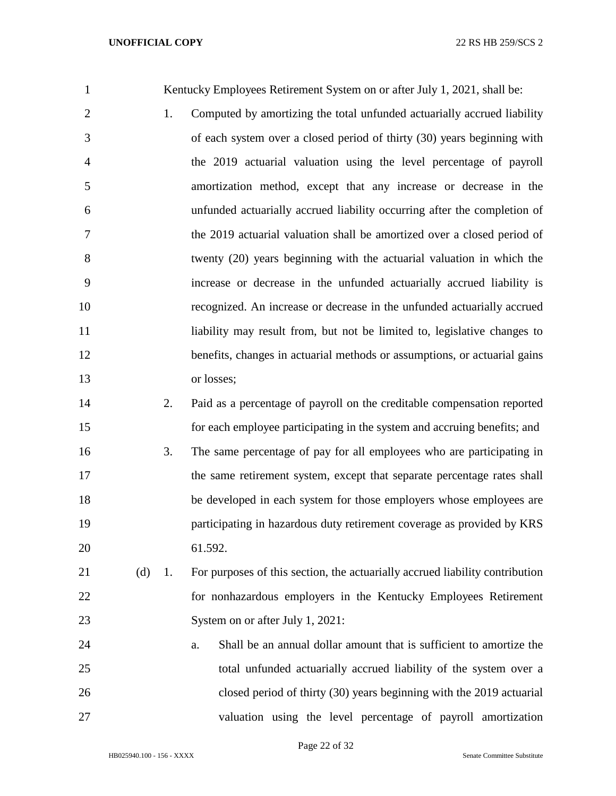| $\mathbf{1}$   |     |    | Kentucky Employees Retirement System on or after July 1, 2021, shall be:     |
|----------------|-----|----|------------------------------------------------------------------------------|
| $\overline{2}$ |     | 1. | Computed by amortizing the total unfunded actuarially accrued liability      |
| 3              |     |    | of each system over a closed period of thirty (30) years beginning with      |
| 4              |     |    | the 2019 actuarial valuation using the level percentage of payroll           |
| 5              |     |    | amortization method, except that any increase or decrease in the             |
| 6              |     |    | unfunded actuarially accrued liability occurring after the completion of     |
| 7              |     |    | the 2019 actuarial valuation shall be amortized over a closed period of      |
| 8              |     |    | twenty (20) years beginning with the actuarial valuation in which the        |
| 9              |     |    | increase or decrease in the unfunded actuarially accrued liability is        |
| 10             |     |    | recognized. An increase or decrease in the unfunded actuarially accrued      |
| 11             |     |    | liability may result from, but not be limited to, legislative changes to     |
| 12             |     |    | benefits, changes in actuarial methods or assumptions, or actuarial gains    |
| 13             |     |    | or losses;                                                                   |
| 14             |     | 2. | Paid as a percentage of payroll on the creditable compensation reported      |
| 15             |     |    | for each employee participating in the system and accruing benefits; and     |
| 16             |     | 3. | The same percentage of pay for all employees who are participating in        |
| 17             |     |    | the same retirement system, except that separate percentage rates shall      |
| 18             |     |    | be developed in each system for those employers whose employees are          |
| 19             |     |    | participating in hazardous duty retirement coverage as provided by KRS       |
| 20             |     |    | 61.592.                                                                      |
| 21             | (d) | 1. | For purposes of this section, the actuarially accrued liability contribution |
| 22             |     |    | for nonhazardous employers in the Kentucky Employees Retirement              |
| 23             |     |    | System on or after July 1, 2021:                                             |
| 24             |     |    | Shall be an annual dollar amount that is sufficient to amortize the<br>a.    |
| 25             |     |    | total unfunded actuarially accrued liability of the system over a            |
| 26             |     |    | closed period of thirty (30) years beginning with the 2019 actuarial         |
| 27             |     |    | valuation using the level percentage of payroll amortization                 |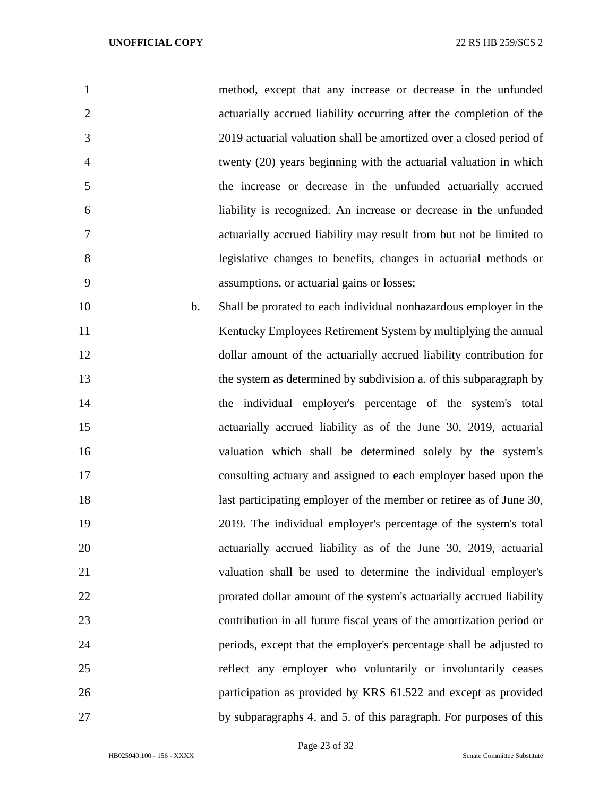| 1              |    | method, except that any increase or decrease in the unfunded          |
|----------------|----|-----------------------------------------------------------------------|
| $\overline{2}$ |    | actuarially accrued liability occurring after the completion of the   |
| 3              |    | 2019 actuarial valuation shall be amortized over a closed period of   |
| $\overline{4}$ |    | twenty (20) years beginning with the actuarial valuation in which     |
| 5              |    | the increase or decrease in the unfunded actuarially accrued          |
| 6              |    | liability is recognized. An increase or decrease in the unfunded      |
| 7              |    | actuarially accrued liability may result from but not be limited to   |
| 8              |    | legislative changes to benefits, changes in actuarial methods or      |
| 9              |    | assumptions, or actuarial gains or losses;                            |
| 10             | b. | Shall be prorated to each individual nonhazardous employer in the     |
| 11             |    | Kentucky Employees Retirement System by multiplying the annual        |
| 12             |    | dollar amount of the actuarially accrued liability contribution for   |
| 13             |    | the system as determined by subdivision a. of this subparagraph by    |
| 14             |    | the individual employer's percentage of the system's total            |
| 15             |    | actuarially accrued liability as of the June 30, 2019, actuarial      |
| 16             |    | valuation which shall be determined solely by the system's            |
| 17             |    | consulting actuary and assigned to each employer based upon the       |
| 18             |    | last participating employer of the member or retiree as of June 30,   |
| 19             |    | 2019. The individual employer's percentage of the system's total      |
| 20             |    | actuarially accrued liability as of the June 30, 2019, actuarial      |
| 21             |    | valuation shall be used to determine the individual employer's        |
| 22             |    | prorated dollar amount of the system's actuarially accrued liability  |
| 23             |    | contribution in all future fiscal years of the amortization period or |
| 24             |    | periods, except that the employer's percentage shall be adjusted to   |
| 25             |    | reflect any employer who voluntarily or involuntarily ceases          |
| 26             |    | participation as provided by KRS 61.522 and except as provided        |
| 27             |    | by subparagraphs 4. and 5. of this paragraph. For purposes of this    |

Page 23 of 32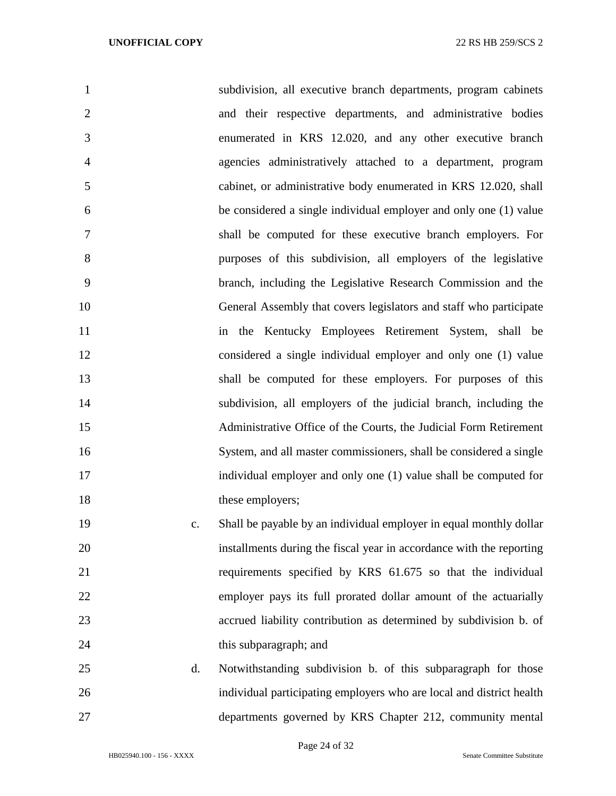| 1              |                | subdivision, all executive branch departments, program cabinets      |
|----------------|----------------|----------------------------------------------------------------------|
| $\overline{2}$ |                | and their respective departments, and administrative bodies          |
| 3              |                | enumerated in KRS 12.020, and any other executive branch             |
| 4              |                | agencies administratively attached to a department, program          |
| 5              |                | cabinet, or administrative body enumerated in KRS 12.020, shall      |
| 6              |                | be considered a single individual employer and only one (1) value    |
| 7              |                | shall be computed for these executive branch employers. For          |
| 8              |                | purposes of this subdivision, all employers of the legislative       |
| 9              |                | branch, including the Legislative Research Commission and the        |
| 10             |                | General Assembly that covers legislators and staff who participate   |
| 11             |                | the Kentucky Employees Retirement System, shall be<br>in             |
| 12             |                | considered a single individual employer and only one (1) value       |
| 13             |                | shall be computed for these employers. For purposes of this          |
| 14             |                | subdivision, all employers of the judicial branch, including the     |
| 15             |                | Administrative Office of the Courts, the Judicial Form Retirement    |
| 16             |                | System, and all master commissioners, shall be considered a single   |
| 17             |                | individual employer and only one (1) value shall be computed for     |
| 18             |                | these employers;                                                     |
| 19             | $\mathbf{c}$ . | Shall be payable by an individual employer in equal monthly dollar   |
| 20             |                | installments during the fiscal year in accordance with the reporting |
| 21             |                | requirements specified by KRS 61.675 so that the individual          |
| 22             |                | employer pays its full prorated dollar amount of the actuarially     |
| 23             |                | accrued liability contribution as determined by subdivision b. of    |
| 24             |                | this subparagraph; and                                               |

 d. Notwithstanding subdivision b. of this subparagraph for those individual participating employers who are local and district health departments governed by KRS Chapter 212, community mental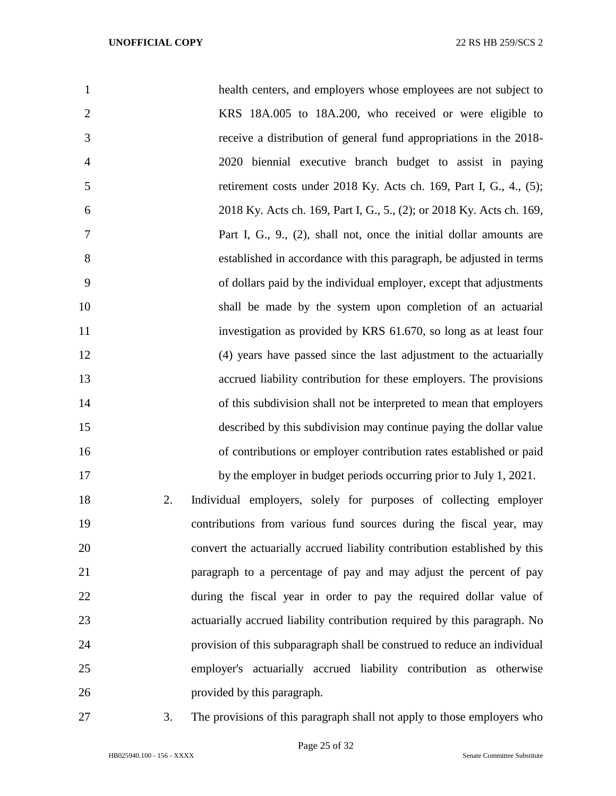| $\mathbf{1}$   |    | health centers, and employers whose employees are not subject to           |
|----------------|----|----------------------------------------------------------------------------|
| $\overline{2}$ |    | KRS 18A.005 to 18A.200, who received or were eligible to                   |
| 3              |    | receive a distribution of general fund appropriations in the 2018-         |
| $\overline{4}$ |    | 2020 biennial executive branch budget to assist in paying                  |
| 5              |    | retirement costs under 2018 Ky. Acts ch. 169, Part I, G., 4., (5);         |
| 6              |    | 2018 Ky. Acts ch. 169, Part I, G., 5., (2); or 2018 Ky. Acts ch. 169,      |
| 7              |    | Part I, G., 9., (2), shall not, once the initial dollar amounts are        |
| 8              |    | established in accordance with this paragraph, be adjusted in terms        |
| 9              |    | of dollars paid by the individual employer, except that adjustments        |
| 10             |    | shall be made by the system upon completion of an actuarial                |
| 11             |    | investigation as provided by KRS 61.670, so long as at least four          |
| 12             |    | (4) years have passed since the last adjustment to the actuarially         |
| 13             |    | accrued liability contribution for these employers. The provisions         |
| 14             |    | of this subdivision shall not be interpreted to mean that employers        |
| 15             |    | described by this subdivision may continue paying the dollar value         |
| 16             |    | of contributions or employer contribution rates established or paid        |
| 17             |    | by the employer in budget periods occurring prior to July 1, 2021.         |
| 18             | 2. | Individual employers, solely for purposes of collecting employer           |
| 19             |    | contributions from various fund sources during the fiscal year, may        |
| 20             |    | convert the actuarially accrued liability contribution established by this |
| 21             |    | paragraph to a percentage of pay and may adjust the percent of pay         |
| 22             |    | during the fiscal year in order to pay the required dollar value of        |
| 23             |    | actuarially accrued liability contribution required by this paragraph. No  |
| 24             |    | provision of this subparagraph shall be construed to reduce an individual  |
| 25             |    | employer's actuarially accrued liability contribution as otherwise         |
| 26             |    | provided by this paragraph.                                                |

3. The provisions of this paragraph shall not apply to those employers who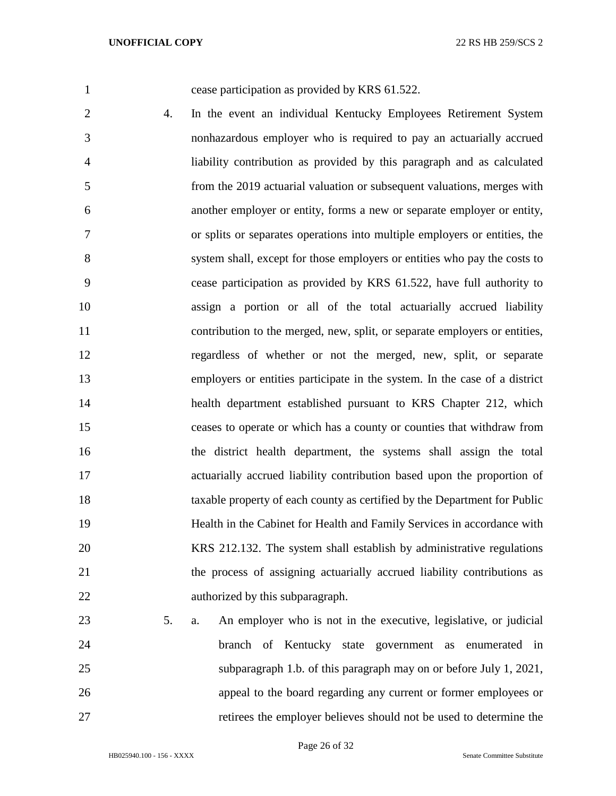cease participation as provided by KRS 61.522.

- 4. In the event an individual Kentucky Employees Retirement System nonhazardous employer who is required to pay an actuarially accrued liability contribution as provided by this paragraph and as calculated from the 2019 actuarial valuation or subsequent valuations, merges with another employer or entity, forms a new or separate employer or entity, or splits or separates operations into multiple employers or entities, the system shall, except for those employers or entities who pay the costs to cease participation as provided by KRS 61.522, have full authority to assign a portion or all of the total actuarially accrued liability contribution to the merged, new, split, or separate employers or entities, regardless of whether or not the merged, new, split, or separate employers or entities participate in the system. In the case of a district health department established pursuant to KRS Chapter 212, which ceases to operate or which has a county or counties that withdraw from the district health department, the systems shall assign the total actuarially accrued liability contribution based upon the proportion of taxable property of each county as certified by the Department for Public Health in the Cabinet for Health and Family Services in accordance with KRS 212.132. The system shall establish by administrative regulations the process of assigning actuarially accrued liability contributions as authorized by this subparagraph.
- 5. a. An employer who is not in the executive, legislative, or judicial branch of Kentucky state government as enumerated in subparagraph 1.b. of this paragraph may on or before July 1, 2021, appeal to the board regarding any current or former employees or retirees the employer believes should not be used to determine the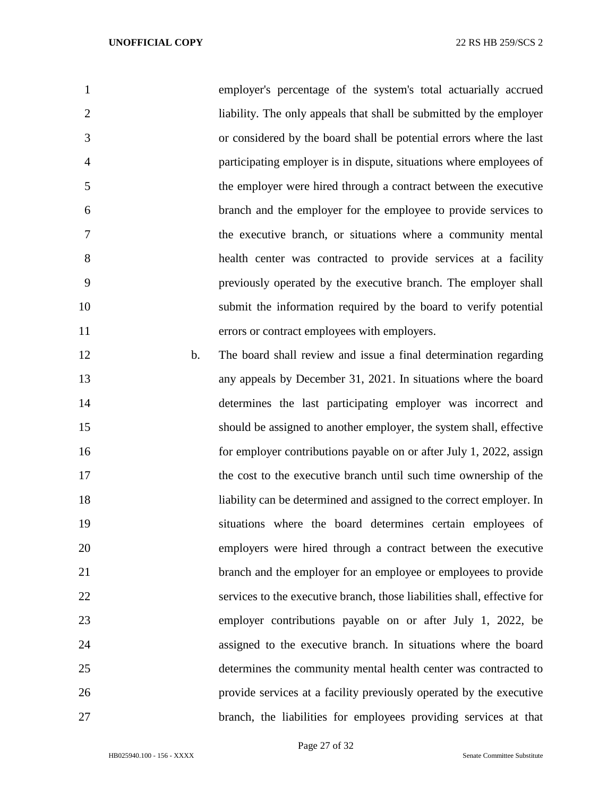| $\mathbf{1}$   |    | employer's percentage of the system's total actuarially accrued          |
|----------------|----|--------------------------------------------------------------------------|
| $\overline{2}$ |    | liability. The only appeals that shall be submitted by the employer      |
| 3              |    | or considered by the board shall be potential errors where the last      |
| $\overline{4}$ |    | participating employer is in dispute, situations where employees of      |
| 5              |    | the employer were hired through a contract between the executive         |
| 6              |    | branch and the employer for the employee to provide services to          |
| 7              |    | the executive branch, or situations where a community mental             |
| 8              |    | health center was contracted to provide services at a facility           |
| 9              |    | previously operated by the executive branch. The employer shall          |
| 10             |    | submit the information required by the board to verify potential         |
| 11             |    | errors or contract employees with employers.                             |
| 12             | b. | The board shall review and issue a final determination regarding         |
| 13             |    | any appeals by December 31, 2021. In situations where the board          |
| 14             |    | determines the last participating employer was incorrect and             |
| 15             |    | should be assigned to another employer, the system shall, effective      |
| 16             |    | for employer contributions payable on or after July 1, 2022, assign      |
| 17             |    | the cost to the executive branch until such time ownership of the        |
| 18             |    | liability can be determined and assigned to the correct employer. In     |
| 19             |    | situations where the board determines certain employees of               |
| 20             |    | employers were hired through a contract between the executive            |
| 21             |    | branch and the employer for an employee or employees to provide          |
| 22             |    | services to the executive branch, those liabilities shall, effective for |
| 23             |    | employer contributions payable on or after July 1, 2022, be              |
| 24             |    | assigned to the executive branch. In situations where the board          |
|                |    |                                                                          |

 determines the community mental health center was contracted to provide services at a facility previously operated by the executive branch, the liabilities for employees providing services at that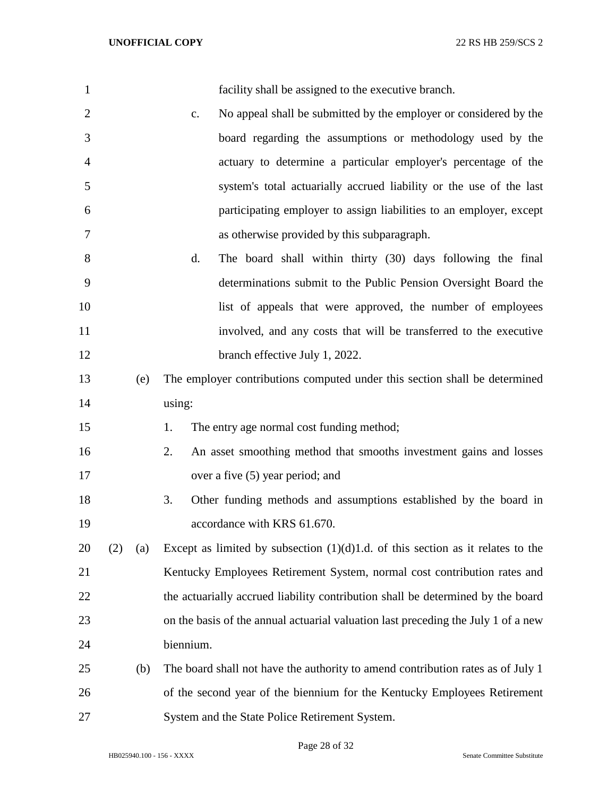| $\mathbf{1}$   |     |     | facility shall be assigned to the executive branch.                               |
|----------------|-----|-----|-----------------------------------------------------------------------------------|
| $\overline{2}$ |     |     | No appeal shall be submitted by the employer or considered by the<br>c.           |
| 3              |     |     | board regarding the assumptions or methodology used by the                        |
| $\overline{4}$ |     |     | actuary to determine a particular employer's percentage of the                    |
| 5              |     |     | system's total actuarially accrued liability or the use of the last               |
| 6              |     |     | participating employer to assign liabilities to an employer, except               |
| 7              |     |     | as otherwise provided by this subparagraph.                                       |
| 8              |     |     | The board shall within thirty (30) days following the final<br>d.                 |
| 9              |     |     | determinations submit to the Public Pension Oversight Board the                   |
| 10             |     |     | list of appeals that were approved, the number of employees                       |
| 11             |     |     | involved, and any costs that will be transferred to the executive                 |
| 12             |     |     | branch effective July 1, 2022.                                                    |
| 13             |     | (e) | The employer contributions computed under this section shall be determined        |
| 14             |     |     | using:                                                                            |
| 15             |     |     | The entry age normal cost funding method;<br>1.                                   |
| 16             |     |     | 2.<br>An asset smoothing method that smooths investment gains and losses          |
| 17             |     |     | over a five (5) year period; and                                                  |
| 18             |     |     | 3.<br>Other funding methods and assumptions established by the board in           |
| 19             |     |     | accordance with KRS 61.670.                                                       |
| 20             | (2) | (a) | Except as limited by subsection $(1)(d)1.d.$ of this section as it relates to the |
| 21             |     |     | Kentucky Employees Retirement System, normal cost contribution rates and          |
| 22             |     |     | the actuarially accrued liability contribution shall be determined by the board   |
| 23             |     |     | on the basis of the annual actuarial valuation last preceding the July 1 of a new |
| 24             |     |     | biennium.                                                                         |
| 25             |     | (b) | The board shall not have the authority to amend contribution rates as of July 1   |
| 26             |     |     | of the second year of the biennium for the Kentucky Employees Retirement          |
| 27             |     |     | System and the State Police Retirement System.                                    |

Page 28 of 32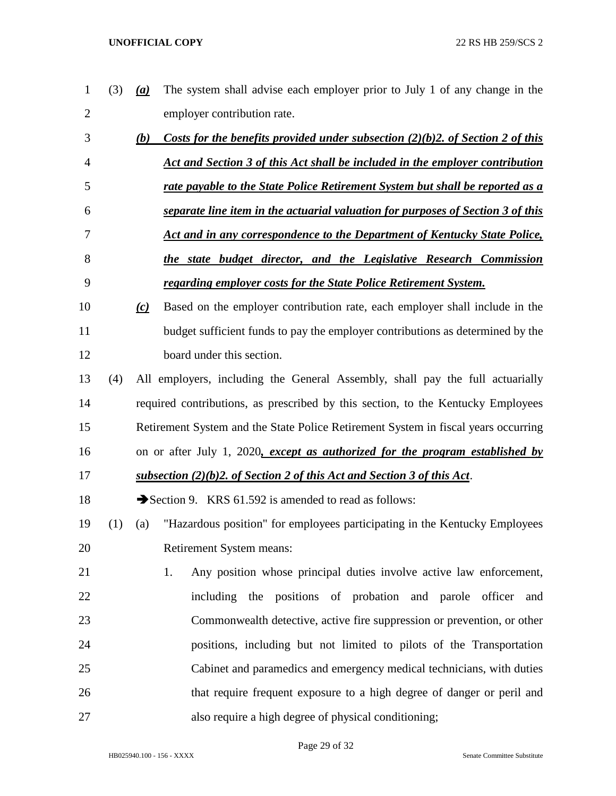| $\mathbf 1$    | (3) | (a) | The system shall advise each employer prior to July 1 of any change in the         |
|----------------|-----|-----|------------------------------------------------------------------------------------|
| $\overline{2}$ |     |     | employer contribution rate.                                                        |
| 3              |     | (b) | Costs for the benefits provided under subsection $(2)(b)2$ , of Section 2 of this  |
| 4              |     |     | Act and Section 3 of this Act shall be included in the employer contribution       |
| 5              |     |     | rate payable to the State Police Retirement System but shall be reported as a      |
| 6              |     |     | separate line item in the actuarial valuation for purposes of Section 3 of this    |
| 7              |     |     | Act and in any correspondence to the Department of Kentucky State Police,          |
| 8              |     |     | the state budget director, and the Legislative Research Commission                 |
| 9              |     |     | regarding employer costs for the State Police Retirement System.                   |
| 10             |     | (c) | Based on the employer contribution rate, each employer shall include in the        |
| 11             |     |     | budget sufficient funds to pay the employer contributions as determined by the     |
| 12             |     |     | board under this section.                                                          |
| 13             | (4) |     | All employers, including the General Assembly, shall pay the full actuarially      |
| 14             |     |     | required contributions, as prescribed by this section, to the Kentucky Employees   |
| 15             |     |     | Retirement System and the State Police Retirement System in fiscal years occurring |
| 16             |     |     | on or after July 1, 2020, except as authorized for the program established by      |
| 17             |     |     | subsection (2)(b)2. of Section 2 of this Act and Section 3 of this Act.            |
| 18             |     |     | Section 9. KRS 61.592 is amended to read as follows:                               |
| 19             | (1) | (a) | "Hazardous position" for employees participating in the Kentucky Employees         |
| 20             |     |     | Retirement System means:                                                           |
| 21             |     |     | Any position whose principal duties involve active law enforcement,<br>1.          |
| 22             |     |     | including the positions of probation and parole officer<br>and                     |
| 23             |     |     | Commonwealth detective, active fire suppression or prevention, or other            |
| 24             |     |     | positions, including but not limited to pilots of the Transportation               |
| 25             |     |     | Cabinet and paramedics and emergency medical technicians, with duties              |
| 26             |     |     | that require frequent exposure to a high degree of danger or peril and             |
| 27             |     |     | also require a high degree of physical conditioning;                               |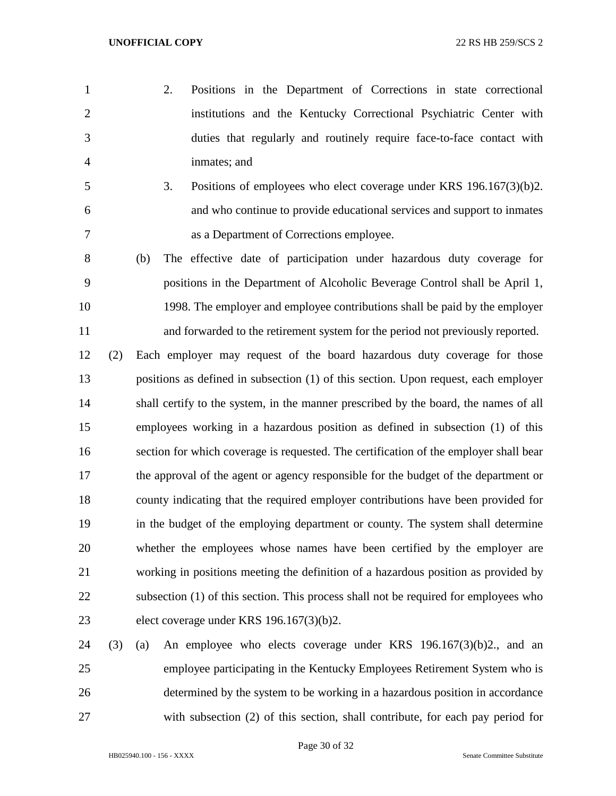- 2. Positions in the Department of Corrections in state correctional institutions and the Kentucky Correctional Psychiatric Center with duties that regularly and routinely require face-to-face contact with inmates; and
- 3. Positions of employees who elect coverage under KRS 196.167(3)(b)2. and who continue to provide educational services and support to inmates as a Department of Corrections employee.
- (b) The effective date of participation under hazardous duty coverage for positions in the Department of Alcoholic Beverage Control shall be April 1, 1998. The employer and employee contributions shall be paid by the employer and forwarded to the retirement system for the period not previously reported.
- (2) Each employer may request of the board hazardous duty coverage for those positions as defined in subsection (1) of this section. Upon request, each employer 14 shall certify to the system, in the manner prescribed by the board, the names of all employees working in a hazardous position as defined in subsection (1) of this section for which coverage is requested. The certification of the employer shall bear the approval of the agent or agency responsible for the budget of the department or county indicating that the required employer contributions have been provided for in the budget of the employing department or county. The system shall determine whether the employees whose names have been certified by the employer are working in positions meeting the definition of a hazardous position as provided by subsection (1) of this section. This process shall not be required for employees who elect coverage under KRS 196.167(3)(b)2.
- (3) (a) An employee who elects coverage under KRS 196.167(3)(b)2., and an employee participating in the Kentucky Employees Retirement System who is determined by the system to be working in a hazardous position in accordance with subsection (2) of this section, shall contribute, for each pay period for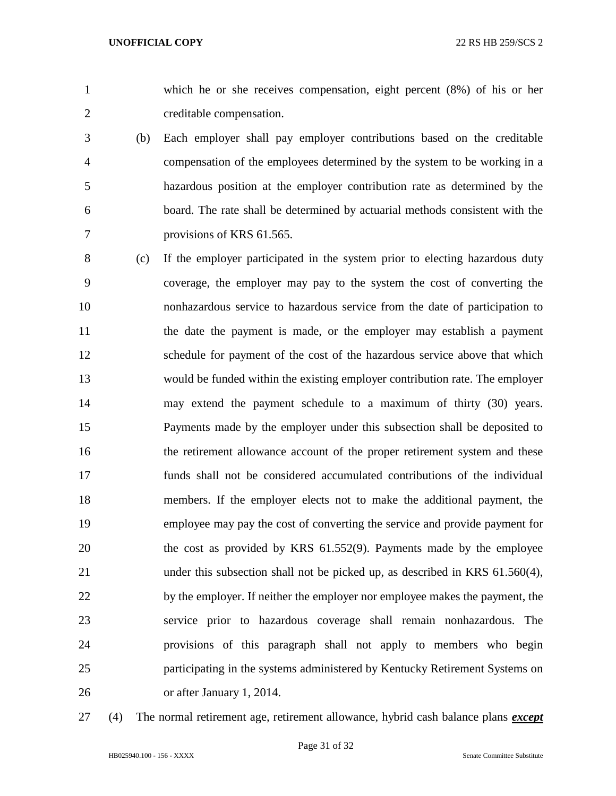which he or she receives compensation, eight percent (8%) of his or her creditable compensation.

- (b) Each employer shall pay employer contributions based on the creditable compensation of the employees determined by the system to be working in a hazardous position at the employer contribution rate as determined by the board. The rate shall be determined by actuarial methods consistent with the provisions of KRS 61.565.
- (c) If the employer participated in the system prior to electing hazardous duty coverage, the employer may pay to the system the cost of converting the nonhazardous service to hazardous service from the date of participation to the date the payment is made, or the employer may establish a payment schedule for payment of the cost of the hazardous service above that which would be funded within the existing employer contribution rate. The employer may extend the payment schedule to a maximum of thirty (30) years. Payments made by the employer under this subsection shall be deposited to the retirement allowance account of the proper retirement system and these funds shall not be considered accumulated contributions of the individual members. If the employer elects not to make the additional payment, the employee may pay the cost of converting the service and provide payment for the cost as provided by KRS 61.552(9). Payments made by the employee under this subsection shall not be picked up, as described in KRS 61.560(4), 22 by the employer. If neither the employer nor employee makes the payment, the service prior to hazardous coverage shall remain nonhazardous. The provisions of this paragraph shall not apply to members who begin participating in the systems administered by Kentucky Retirement Systems on or after January 1, 2014.
- 

(4) The normal retirement age, retirement allowance, hybrid cash balance plans *except*